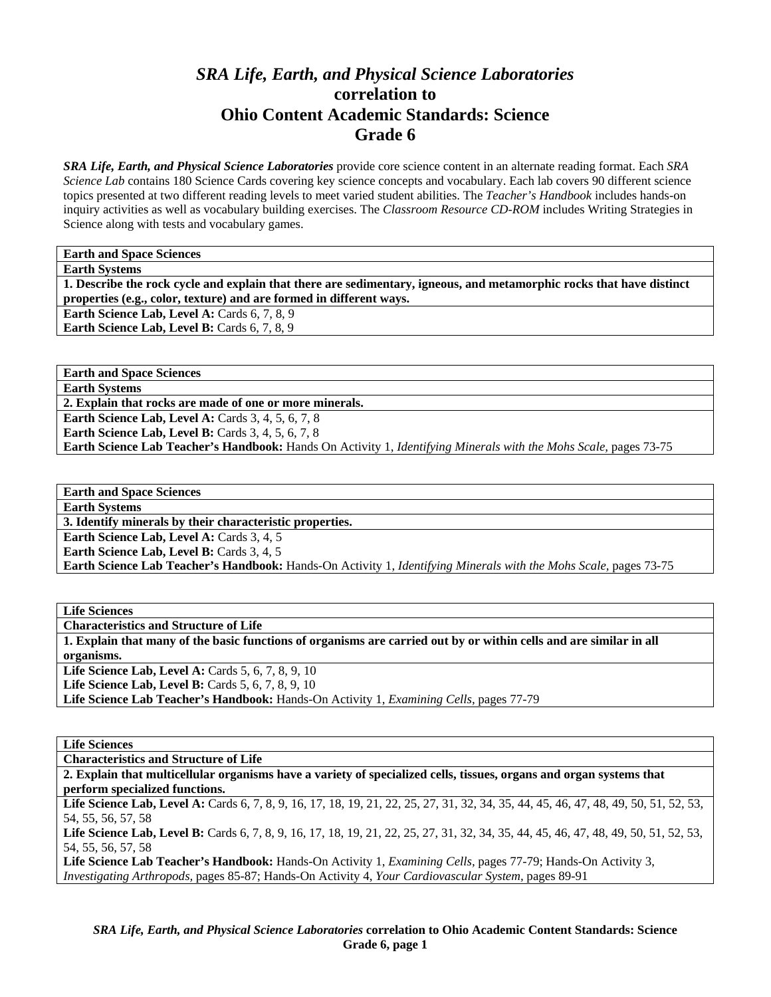# *SRA Life, Earth, and Physical Science Laboratories*  **correlation to Ohio Content Academic Standards: Science Grade 6**

*SRA Life, Earth, and Physical Science Laboratories* provide core science content in an alternate reading format. Each *SRA Science Lab* contains 180 Science Cards covering key science concepts and vocabulary. Each lab covers 90 different science topics presented at two different reading levels to meet varied student abilities. The *Teacher's Handbook* includes hands-on inquiry activities as well as vocabulary building exercises. The *Classroom Resource CD-ROM* includes Writing Strategies in Science along with tests and vocabulary games.

**Earth and Space Sciences** 

**Earth Systems** 

**1. Describe the rock cycle and explain that there are sedimentary, igneous, and metamorphic rocks that have distinct properties (e.g., color, texture) and are formed in different ways.** 

Earth Science Lab, Level A: Cards 6, 7, 8, 9

**Earth Science Lab, Level B:** Cards 6, 7, 8, 9

**Earth and Space Sciences** 

**Earth Systems** 

**2. Explain that rocks are made of one or more minerals.** 

**Earth Science Lab, Level A: Cards 3, 4, 5, 6, 7, 8** 

**Earth Science Lab, Level B:** Cards 3, 4, 5, 6, 7, 8

**Earth Science Lab Teacher's Handbook:** Hands On Activity 1, *Identifying Minerals with the Mohs Scale,* pages 73-75

| <b>Earth and Space Sciences</b>                                                                                  |
|------------------------------------------------------------------------------------------------------------------|
| <b>Earth Systems</b>                                                                                             |
| 3. Identify minerals by their characteristic properties.                                                         |
| <b>Earth Science Lab, Level A: Cards 3, 4, 5</b>                                                                 |
| <b>Earth Science Lab, Level B:</b> Cards 3, 4, 5                                                                 |
| Earth Science Lab Teacher's Handbook: Hands-On Activity 1, Identifying Minerals with the Mohs Scale, pages 73-75 |

**Life Sciences** 

**Characteristics and Structure of Life** 

**1. Explain that many of the basic functions of organisms are carried out by or within cells and are similar in all organisms.** 

**Life Science Lab, Level A: Cards 5, 6, 7, 8, 9, 10** 

**Life Science Lab, Level B:** Cards 5, 6, 7, 8, 9, 10

**Life Science Lab Teacher's Handbook:** Hands-On Activity 1, *Examining Cells,* pages 77-79

**Life Sciences** 

**Characteristics and Structure of Life** 

**2. Explain that multicellular organisms have a variety of specialized cells, tissues, organs and organ systems that perform specialized functions.** 

Life Science Lab, Level A: Cards 6, 7, 8, 9, 16, 17, 18, 19, 21, 22, 25, 27, 31, 32, 34, 35, 44, 45, 46, 47, 48, 49, 50, 51, 52, 53, 54, 55, 56, 57, 58

Life Science Lab, Level B: Cards 6, 7, 8, 9, 16, 17, 18, 19, 21, 22, 25, 27, 31, 32, 34, 35, 44, 45, 46, 47, 48, 49, 50, 51, 52, 53, 54, 55, 56, 57, 58

**Life Science Lab Teacher's Handbook:** Hands-On Activity 1, *Examining Cells,* pages 77-79; Hands-On Activity 3, *Investigating Arthropods,* pages 85-87; Hands-On Activity 4, *Your Cardiovascular System,* pages 89-91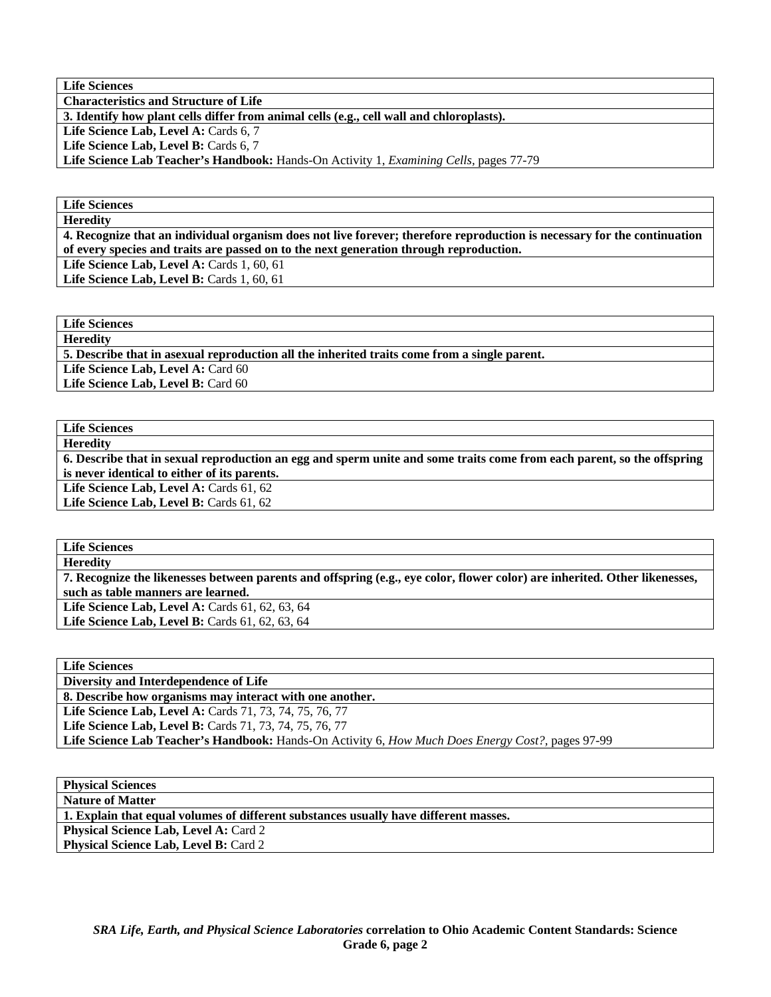**Life Sciences** 

**Characteristics and Structure of Life** 

**3. Identify how plant cells differ from animal cells (e.g., cell wall and chloroplasts).** 

Life Science Lab, Level A: Cards 6, 7

Life Science Lab, Level B: Cards 6, 7

**Life Science Lab Teacher's Handbook:** Hands-On Activity 1, *Examining Cells,* pages 77-79

**Life Sciences Heredity** 

**4. Recognize that an individual organism does not live forever; therefore reproduction is necessary for the continuation of every species and traits are passed on to the next generation through reproduction.** 

**Life Science Lab, Level A: Cards 1, 60, 61** 

Life Science Lab, Level B: Cards 1, 60, 61

**Life Sciences** 

**Heredity 5. Describe that in asexual reproduction all the inherited traits come from a single parent.** 

Life Science Lab, Level A: Card 60

Life Science Lab, Level B: Card 60

**Life Sciences Heredity** 

**6. Describe that in sexual reproduction an egg and sperm unite and some traits come from each parent, so the offspring is never identical to either of its parents.**  Life Science Lab, Level A: Cards 61, 62

Life Science Lab, Level B: Cards 61, 62

**Life Sciences Heredity** 

**7. Recognize the likenesses between parents and offspring (e.g., eye color, flower color) are inherited. Other likenesses, such as table manners are learned.** 

Life Science Lab, Level A: Cards 61, 62, 63, 64

Life Science Lab, Level B: Cards 61, 62, 63, 64

| <b>Life Sciences</b>                                                                                      |
|-----------------------------------------------------------------------------------------------------------|
| Diversity and Interdependence of Life                                                                     |
| 8. Describe how organisms may interact with one another.                                                  |
| <b>Life Science Lab, Level A: Cards 71, 73, 74, 75, 76, 77</b>                                            |
| <b>Life Science Lab, Level B:</b> Cards 71, 73, 74, 75, 76, 77                                            |
| Life Science Lab Teacher's Handbook: Hands-On Activity 6, <i>How Much Does Energy Cost?</i> , pages 97-99 |
|                                                                                                           |

**Physical Sciences** 

**Nature of Matter** 

**1. Explain that equal volumes of different substances usually have different masses.** 

**Physical Science Lab, Level A: Card 2 Physical Science Lab, Level B: Card 2**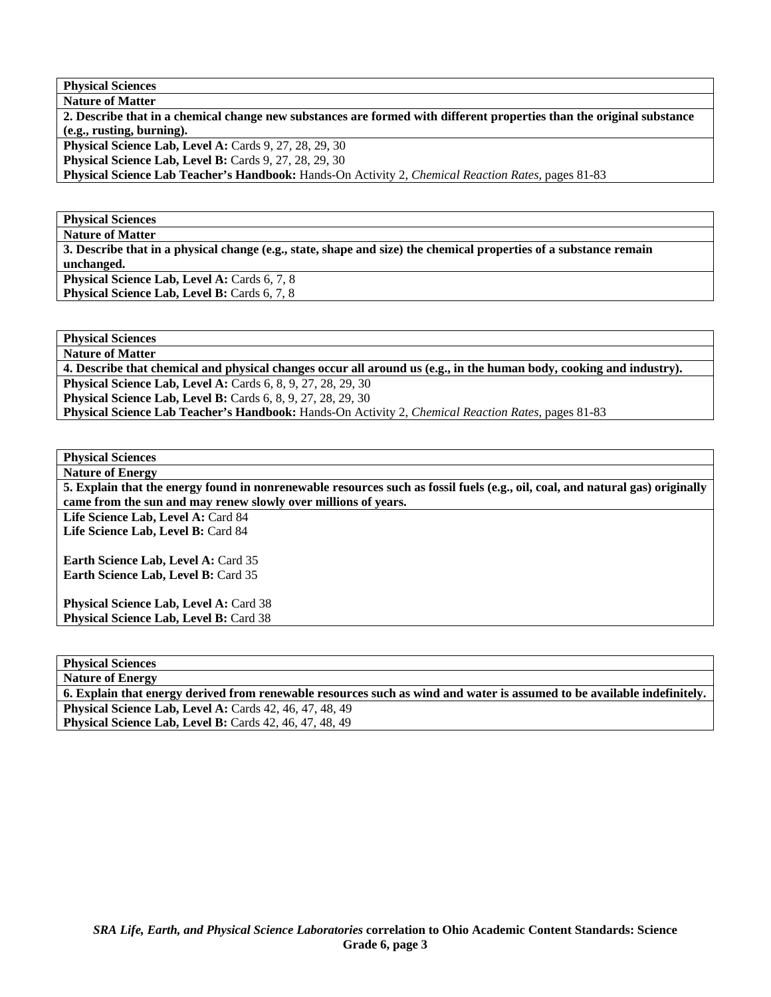**Physical Sciences**   $R_{\text{M}_{\text{c}}44}$ 

| <b>Nature of Matter</b>                                                                                               |
|-----------------------------------------------------------------------------------------------------------------------|
| 2. Describe that in a chemical change new substances are formed with different properties than the original substance |
| $(e.g.,$ rusting, burning).                                                                                           |
| <b>Physical Science Lab, Level A: Cards 9, 27, 28, 29, 30</b>                                                         |
| <b>Physical Science Lab, Level B:</b> Cards 9, 27, 28, 29, 30                                                         |
| Physical Science Lab Teacher's Handbook: Hands-On Activity 2, Chemical Reaction Rates, pages 81-83                    |

**Physical Sciences** 

**Nature of Matter** 

**3. Describe that in a physical change (e.g., state, shape and size) the chemical properties of a substance remain unchanged. Physical Science Lab, Level A: Cards 6, 7, 8** 

**Physical Science Lab, Level B: Cards 6, 7, 8** 

**Physical Sciences Nature of Matter** 

**4. Describe that chemical and physical changes occur all around us (e.g., in the human body, cooking and industry). Physical Science Lab, Level A: Cards 6, 8, 9, 27, 28, 29, 30** 

**Physical Science Lab, Level B:** Cards 6, 8, 9, 27, 28, 29, 30

**Physical Science Lab Teacher's Handbook:** Hands-On Activity 2, *Chemical Reaction Rates,* pages 81-83

**Physical Sciences Nature of Energy** 

**5. Explain that the energy found in nonrenewable resources such as fossil fuels (e.g., oil, coal, and natural gas) originally came from the sun and may renew slowly over millions of years.** 

Life Science Lab, Level A: Card 84 Life Science Lab, Level B: Card 84

Earth Science Lab, Level A: Card 35 **Earth Science Lab, Level B: Card 35** 

Physical Science Lab, Level A: Card 38 **Physical Science Lab, Level B: Card 38** 

**Physical Sciences** 

**Nature of Energy** 

**6. Explain that energy derived from renewable resources such as wind and water is assumed to be available indefinitely. Physical Science Lab, Level A: Cards 42, 46, 47, 48, 49** 

**Physical Science Lab, Level B:** Cards 42, 46, 47, 48, 49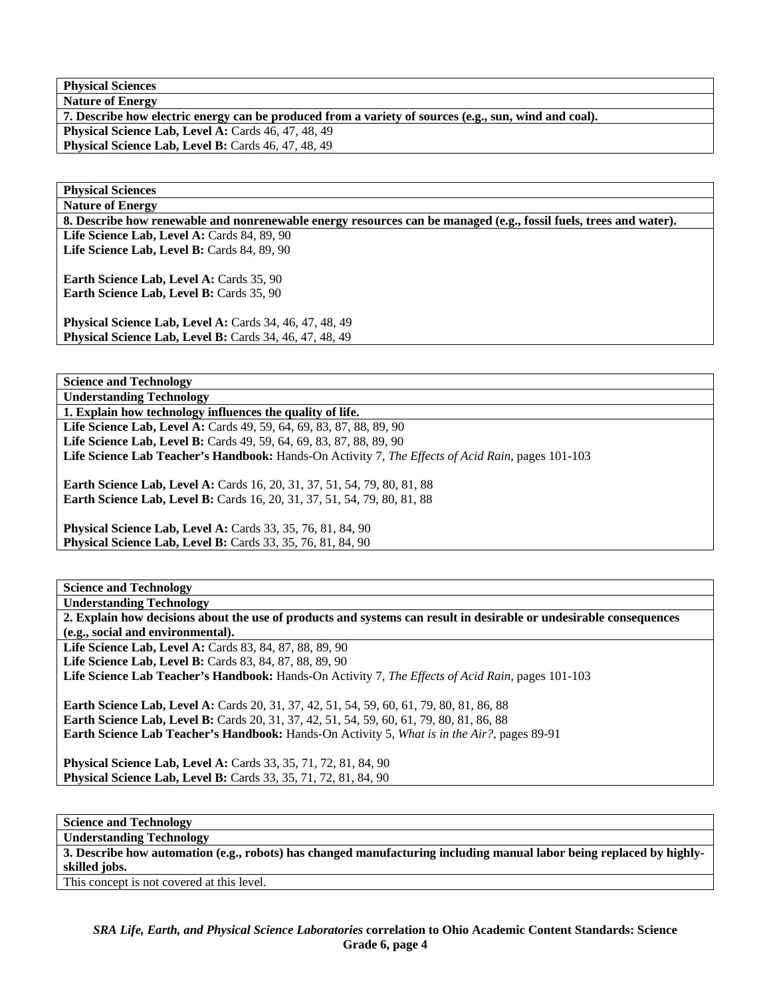**Physical Sciences Nature of Energy** 

**7. Describe how electric energy can be produced from a variety of sources (e.g., sun, wind and coal). Physical Science Lab, Level A: Cards 46, 47, 48, 49** 

Physical Science Lab, Level B: Cards 46, 47, 48, 49

**Physical Sciences** 

**Nature of Energy** 

**8. Describe how renewable and nonrenewable energy resources can be managed (e.g., fossil fuels, trees and water).** 

Life Science Lab, Level A: Cards 84, 89, 90 **Life Science Lab, Level B: Cards 84, 89, 90** 

**Earth Science Lab, Level A: Cards 35, 90 Earth Science Lab, Level B: Cards 35, 90** 

**Physical Science Lab, Level A: Cards 34, 46, 47, 48, 49 Physical Science Lab, Level B: Cards 34, 46, 47, 48, 49** 

**Science and Technology** 

**Understanding Technology** 

**1. Explain how technology influences the quality of life.**  Life Science Lab, Level A: Cards 49, 59, 64, 69, 83, 87, 88, 89, 90 Life Science Lab, Level B: Cards 49, 59, 64, 69, 83, 87, 88, 89, 90 **Life Science Lab Teacher's Handbook:** Hands-On Activity 7, *The Effects of Acid Rain,* pages 101-103

**Earth Science Lab, Level A: Cards 16, 20, 31, 37, 51, 54, 79, 80, 81, 88 Earth Science Lab, Level B:** Cards 16, 20, 31, 37, 51, 54, 79, 80, 81, 88

**Physical Science Lab, Level A: Cards 33, 35, 76, 81, 84, 90 Physical Science Lab, Level B:** Cards 33, 35, 76, 81, 84, 90

**Science and Technology** 

**Understanding Technology** 

**2. Explain how decisions about the use of products and systems can result in desirable or undesirable consequences (e.g., social and environmental).** 

Life Science Lab, Level A: Cards 83, 84, 87, 88, 89, 90 **Life Science Lab, Level B:** Cards 83, 84, 87, 88, 89, 90

**Life Science Lab Teacher's Handbook:** Hands-On Activity 7, *The Effects of Acid Rain,* pages 101-103

**Earth Science Lab, Level A:** Cards 20, 31, 37, 42, 51, 54, 59, 60, 61, 79, 80, 81, 86, 88 **Earth Science Lab, Level B:** Cards 20, 31, 37, 42, 51, 54, 59, 60, 61, 79, 80, 81, 86, 88 **Earth Science Lab Teacher's Handbook:** Hands-On Activity 5, *What is in the Air?,* pages 89-91

**Physical Science Lab, Level A:** Cards 33, 35, 71, 72, 81, 84, 90 **Physical Science Lab, Level B:** Cards 33, 35, 71, 72, 81, 84, 90

**Science and Technology** 

**Understanding Technology** 

**3. Describe how automation (e.g., robots) has changed manufacturing including manual labor being replaced by highlyskilled jobs.** 

This concept is not covered at this level.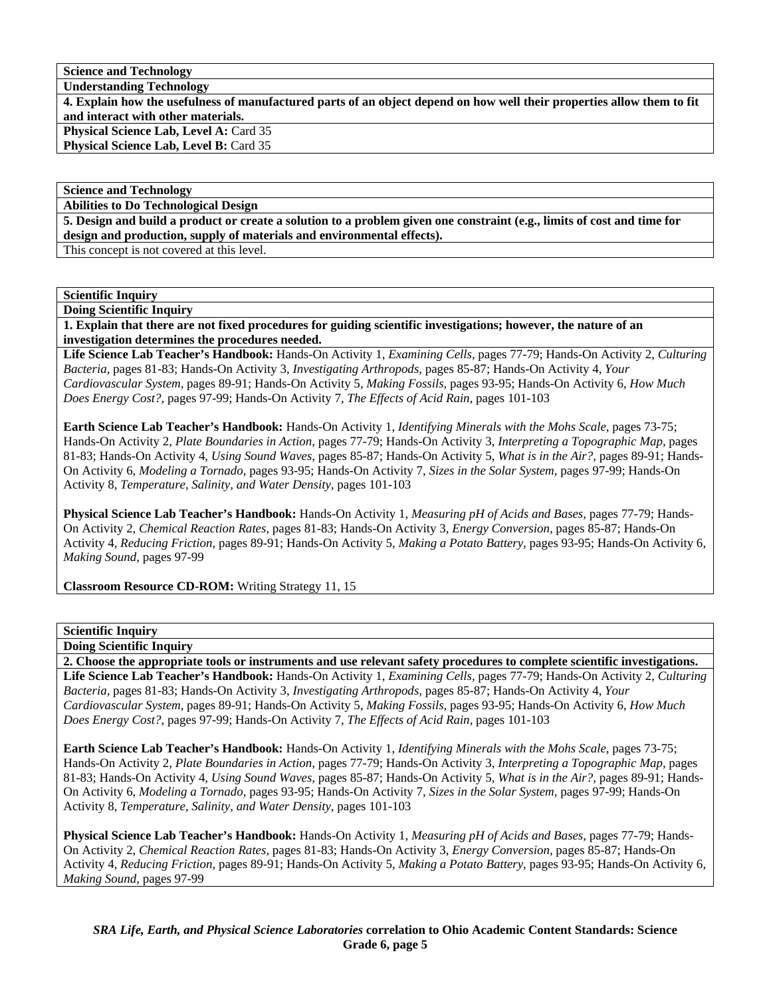**Science and Technology** 

**Understanding Technology** 

**4. Explain how the usefulness of manufactured parts of an object depend on how well their properties allow them to fit and interact with other materials. Physical Science Lab, Level A: Card 35** 

**Physical Science Lab, Level B: Card 35** 

**Science and Technology** 

**Abilities to Do Technological Design** 

**5. Design and build a product or create a solution to a problem given one constraint (e.g., limits of cost and time for design and production, supply of materials and environmental effects).** 

This concept is not covered at this level.

### **Scientific Inquiry**

**Doing Scientific Inquiry 1. Explain that there are not fixed procedures for guiding scientific investigations; however, the nature of an investigation determines the procedures needed.** 

**Life Science Lab Teacher's Handbook:** Hands-On Activity 1, *Examining Cells,* pages 77-79; Hands-On Activity 2, *Culturing Bacteria,* pages 81-83; Hands-On Activity 3, *Investigating Arthropods,* pages 85-87; Hands-On Activity 4, *Your Cardiovascular System,* pages 89-91; Hands-On Activity 5, *Making Fossils,* pages 93-95; Hands-On Activity 6, *How Much Does Energy Cost?,* pages 97-99; Hands-On Activity 7, *The Effects of Acid Rain,* pages 101-103

**Earth Science Lab Teacher's Handbook:** Hands-On Activity 1, *Identifying Minerals with the Mohs Scale,* pages 73-75; Hands-On Activity 2, *Plate Boundaries in Action,* pages 77-79; Hands-On Activity 3, *Interpreting a Topographic Map,* pages 81-83; Hands-On Activity 4, *Using Sound Waves,* pages 85-87; Hands-On Activity 5, *What is in the Air?,* pages 89-91; Hands-On Activity 6, *Modeling a Tornado,* pages 93-95; Hands-On Activity 7, *Sizes in the Solar System,* pages 97-99; Hands-On Activity 8, *Temperature, Salinity, and Water Density,* pages 101-103

**Physical Science Lab Teacher's Handbook:** Hands-On Activity 1, *Measuring pH of Acids and Bases,* pages 77-79; Hands-On Activity 2, *Chemical Reaction Rates,* pages 81-83; Hands-On Activity 3, *Energy Conversion,* pages 85-87; Hands-On Activity 4, *Reducing Friction,* pages 89-91; Hands-On Activity 5, *Making a Potato Battery,* pages 93-95; Hands-On Activity 6, *Making Sound,* pages 97-99

**Classroom Resource CD-ROM:** Writing Strategy 11, 15

### **Scientific Inquiry**

**Doing Scientific Inquiry** 

**2. Choose the appropriate tools or instruments and use relevant safety procedures to complete scientific investigations.** 

**Life Science Lab Teacher's Handbook:** Hands-On Activity 1, *Examining Cells,* pages 77-79; Hands-On Activity 2, *Culturing Bacteria,* pages 81-83; Hands-On Activity 3, *Investigating Arthropods,* pages 85-87; Hands-On Activity 4, *Your Cardiovascular System,* pages 89-91; Hands-On Activity 5, *Making Fossils,* pages 93-95; Hands-On Activity 6, *How Much Does Energy Cost?,* pages 97-99; Hands-On Activity 7, *The Effects of Acid Rain,* pages 101-103

**Earth Science Lab Teacher's Handbook:** Hands-On Activity 1, *Identifying Minerals with the Mohs Scale,* pages 73-75; Hands-On Activity 2, *Plate Boundaries in Action,* pages 77-79; Hands-On Activity 3, *Interpreting a Topographic Map,* pages 81-83; Hands-On Activity 4, *Using Sound Waves,* pages 85-87; Hands-On Activity 5, *What is in the Air?,* pages 89-91; Hands-On Activity 6, *Modeling a Tornado,* pages 93-95; Hands-On Activity 7, *Sizes in the Solar System,* pages 97-99; Hands-On Activity 8, *Temperature, Salinity, and Water Density,* pages 101-103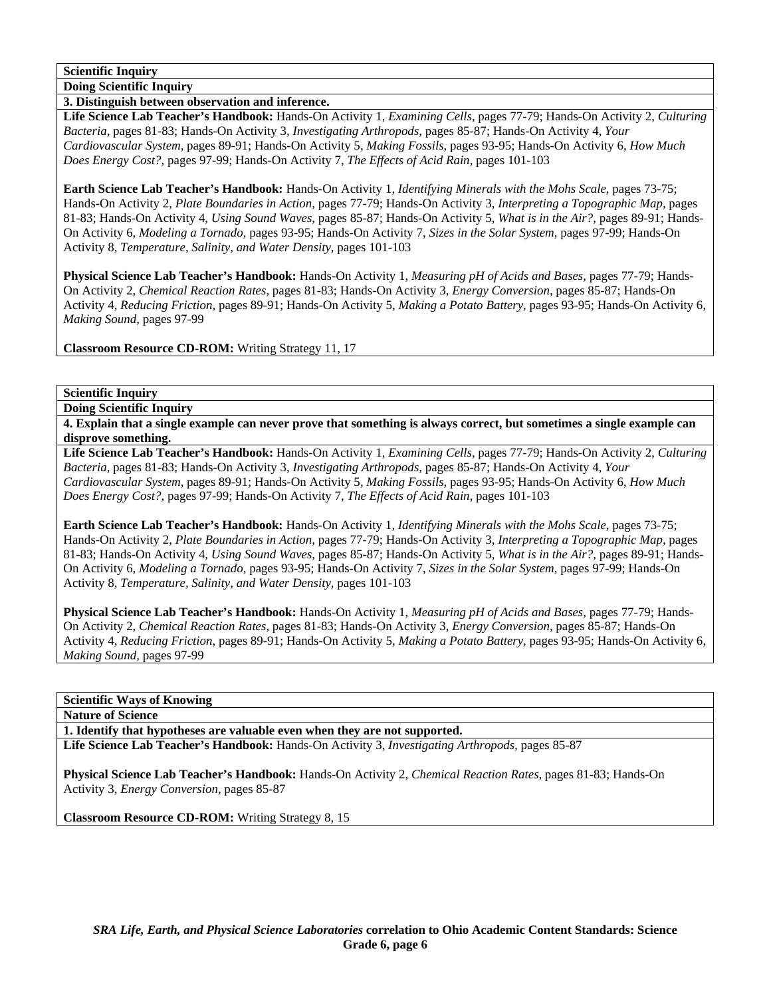**Doing Scientific Inquiry** 

**3. Distinguish between observation and inference.** 

**Life Science Lab Teacher's Handbook:** Hands-On Activity 1, *Examining Cells,* pages 77-79; Hands-On Activity 2, *Culturing Bacteria,* pages 81-83; Hands-On Activity 3, *Investigating Arthropods,* pages 85-87; Hands-On Activity 4, *Your Cardiovascular System,* pages 89-91; Hands-On Activity 5, *Making Fossils,* pages 93-95; Hands-On Activity 6, *How Much Does Energy Cost?,* pages 97-99; Hands-On Activity 7, *The Effects of Acid Rain,* pages 101-103

**Earth Science Lab Teacher's Handbook:** Hands-On Activity 1, *Identifying Minerals with the Mohs Scale,* pages 73-75; Hands-On Activity 2, *Plate Boundaries in Action,* pages 77-79; Hands-On Activity 3, *Interpreting a Topographic Map,* pages 81-83; Hands-On Activity 4, *Using Sound Waves,* pages 85-87; Hands-On Activity 5, *What is in the Air?,* pages 89-91; Hands-On Activity 6, *Modeling a Tornado,* pages 93-95; Hands-On Activity 7, *Sizes in the Solar System,* pages 97-99; Hands-On Activity 8, *Temperature, Salinity, and Water Density,* pages 101-103

**Physical Science Lab Teacher's Handbook:** Hands-On Activity 1, *Measuring pH of Acids and Bases,* pages 77-79; Hands-On Activity 2, *Chemical Reaction Rates,* pages 81-83; Hands-On Activity 3, *Energy Conversion,* pages 85-87; Hands-On Activity 4, *Reducing Friction,* pages 89-91; Hands-On Activity 5, *Making a Potato Battery,* pages 93-95; Hands-On Activity 6, *Making Sound,* pages 97-99

**Classroom Resource CD-ROM:** Writing Strategy 11, 17

**Scientific Inquiry** 

**Doing Scientific Inquiry** 

**4. Explain that a single example can never prove that something is always correct, but sometimes a single example can disprove something.** 

**Life Science Lab Teacher's Handbook:** Hands-On Activity 1, *Examining Cells,* pages 77-79; Hands-On Activity 2, *Culturing Bacteria,* pages 81-83; Hands-On Activity 3, *Investigating Arthropods,* pages 85-87; Hands-On Activity 4, *Your Cardiovascular System,* pages 89-91; Hands-On Activity 5, *Making Fossils,* pages 93-95; Hands-On Activity 6, *How Much Does Energy Cost?,* pages 97-99; Hands-On Activity 7, *The Effects of Acid Rain,* pages 101-103

**Earth Science Lab Teacher's Handbook:** Hands-On Activity 1, *Identifying Minerals with the Mohs Scale,* pages 73-75; Hands-On Activity 2, *Plate Boundaries in Action,* pages 77-79; Hands-On Activity 3, *Interpreting a Topographic Map,* pages 81-83; Hands-On Activity 4, *Using Sound Waves,* pages 85-87; Hands-On Activity 5, *What is in the Air?,* pages 89-91; Hands-On Activity 6, *Modeling a Tornado,* pages 93-95; Hands-On Activity 7, *Sizes in the Solar System,* pages 97-99; Hands-On Activity 8, *Temperature, Salinity, and Water Density,* pages 101-103

**Physical Science Lab Teacher's Handbook:** Hands-On Activity 1, *Measuring pH of Acids and Bases,* pages 77-79; Hands-On Activity 2, *Chemical Reaction Rates,* pages 81-83; Hands-On Activity 3, *Energy Conversion,* pages 85-87; Hands-On Activity 4, *Reducing Friction,* pages 89-91; Hands-On Activity 5, *Making a Potato Battery,* pages 93-95; Hands-On Activity 6, *Making Sound,* pages 97-99

**Scientific Ways of Knowing** 

**Nature of Science** 

**1. Identify that hypotheses are valuable even when they are not supported.** 

**Life Science Lab Teacher's Handbook:** Hands-On Activity 3, *Investigating Arthropods,* pages 85-87

**Physical Science Lab Teacher's Handbook:** Hands-On Activity 2, *Chemical Reaction Rates,* pages 81-83; Hands-On Activity 3, *Energy Conversion,* pages 85-87

**Classroom Resource CD-ROM:** Writing Strategy 8, 15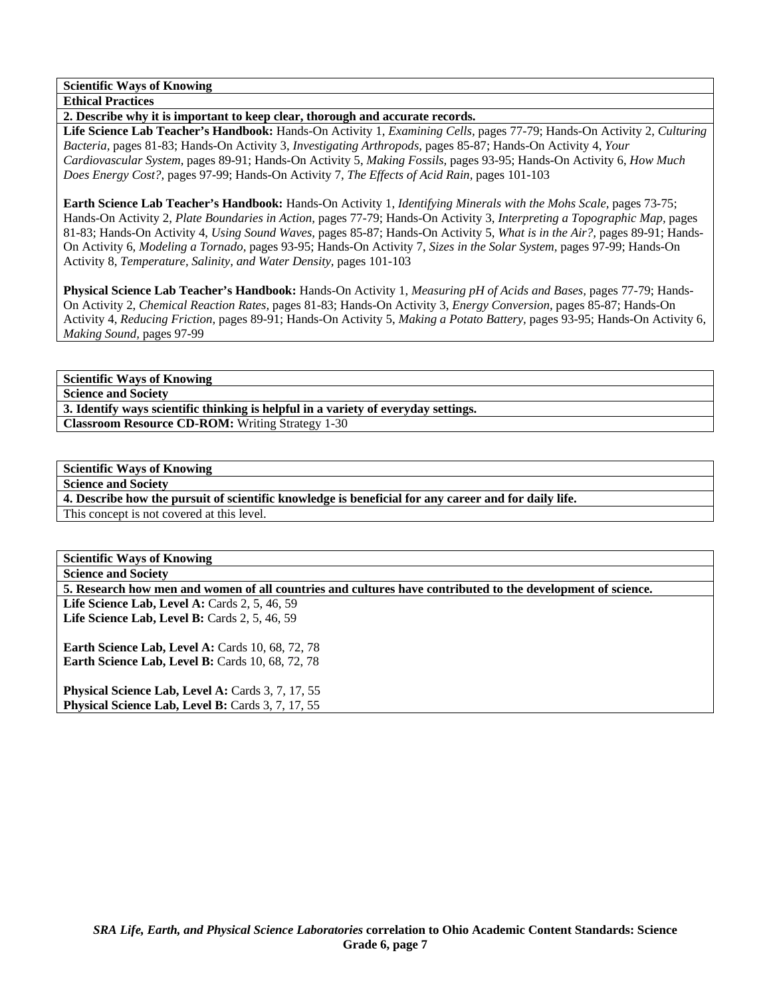**Scientific Ways of Knowing** 

**Ethical Practices** 

**2. Describe why it is important to keep clear, thorough and accurate records.** 

**Life Science Lab Teacher's Handbook:** Hands-On Activity 1, *Examining Cells,* pages 77-79; Hands-On Activity 2, *Culturing Bacteria,* pages 81-83; Hands-On Activity 3, *Investigating Arthropods,* pages 85-87; Hands-On Activity 4, *Your Cardiovascular System,* pages 89-91; Hands-On Activity 5, *Making Fossils,* pages 93-95; Hands-On Activity 6, *How Much Does Energy Cost?,* pages 97-99; Hands-On Activity 7, *The Effects of Acid Rain,* pages 101-103

**Earth Science Lab Teacher's Handbook:** Hands-On Activity 1, *Identifying Minerals with the Mohs Scale,* pages 73-75; Hands-On Activity 2, *Plate Boundaries in Action,* pages 77-79; Hands-On Activity 3, *Interpreting a Topographic Map,* pages 81-83; Hands-On Activity 4, *Using Sound Waves,* pages 85-87; Hands-On Activity 5, *What is in the Air?,* pages 89-91; Hands-On Activity 6, *Modeling a Tornado,* pages 93-95; Hands-On Activity 7, *Sizes in the Solar System,* pages 97-99; Hands-On Activity 8, *Temperature, Salinity, and Water Density,* pages 101-103

**Physical Science Lab Teacher's Handbook:** Hands-On Activity 1, *Measuring pH of Acids and Bases,* pages 77-79; Hands-On Activity 2, *Chemical Reaction Rates,* pages 81-83; Hands-On Activity 3, *Energy Conversion,* pages 85-87; Hands-On Activity 4, *Reducing Friction,* pages 89-91; Hands-On Activity 5, *Making a Potato Battery,* pages 93-95; Hands-On Activity 6, *Making Sound,* pages 97-99

**Scientific Ways of Knowing** 

**Science and Society** 

**3. Identify ways scientific thinking is helpful in a variety of everyday settings. Classroom Resource CD-ROM:** Writing Strategy 1-30

**Scientific Ways of Knowing** 

**Science and Society** 

**4. Describe how the pursuit of scientific knowledge is beneficial for any career and for daily life.** 

This concept is not covered at this level.

Physical Science Lab, Level B: Cards 3, 7, 17, 55

**Scientific Ways of Knowing Science and Society 5. Research how men and women of all countries and cultures have contributed to the development of science.**  Life Science Lab, Level A: Cards 2, 5, 46, 59 **Life Science Lab, Level B:** Cards 2, 5, 46, 59 **Earth Science Lab, Level A: Cards 10, 68, 72, 78 Earth Science Lab, Level B: Cards 10, 68, 72, 78** Physical Science Lab, Level A: Cards 3, 7, 17, 55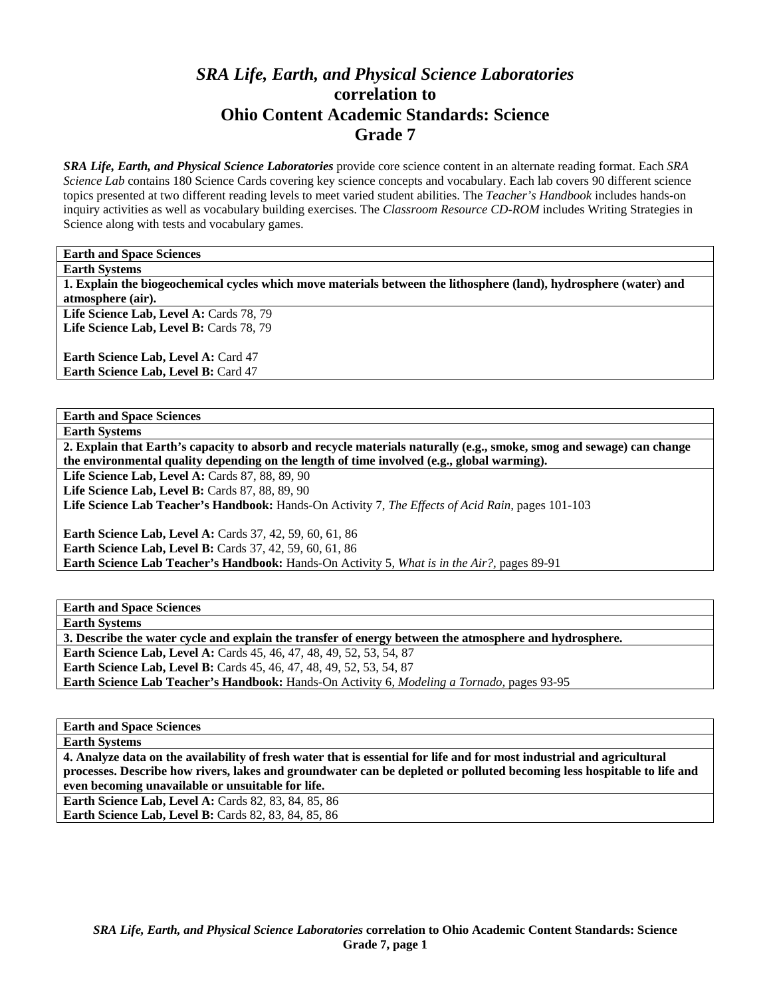# *SRA Life, Earth, and Physical Science Laboratories*  **correlation to Ohio Content Academic Standards: Science Grade 7**

*SRA Life, Earth, and Physical Science Laboratories* provide core science content in an alternate reading format. Each *SRA Science Lab* contains 180 Science Cards covering key science concepts and vocabulary. Each lab covers 90 different science topics presented at two different reading levels to meet varied student abilities. The *Teacher's Handbook* includes hands-on inquiry activities as well as vocabulary building exercises. The *Classroom Resource CD-ROM* includes Writing Strategies in Science along with tests and vocabulary games.

**Earth and Space Sciences** 

**Earth Systems** 

**1. Explain the biogeochemical cycles which move materials between the lithosphere (land), hydrosphere (water) and atmosphere (air).** 

Life Science Lab, Level A: Cards 78, 79 Life Science Lab, Level B: Cards 78, 79

**Earth Science Lab, Level A: Card 47 Earth Science Lab, Level B: Card 47** 

**Earth and Space Sciences** 

**Earth Systems** 

**2. Explain that Earth's capacity to absorb and recycle materials naturally (e.g., smoke, smog and sewage) can change the environmental quality depending on the length of time involved (e.g., global warming).** 

**Life Science Lab, Level A: Cards 87, 88, 89, 90** 

Life Science Lab, Level B: Cards 87, 88, 89, 90

**Life Science Lab Teacher's Handbook:** Hands-On Activity 7, *The Effects of Acid Rain,* pages 101-103

**Earth Science Lab, Level A: Cards 37, 42, 59, 60, 61, 86 Earth Science Lab, Level B:** Cards 37, 42, 59, 60, 61, 86 **Earth Science Lab Teacher's Handbook:** Hands-On Activity 5, *What is in the Air?,* pages 89-91

**Earth and Space Sciences** 

**Earth Systems** 

**3. Describe the water cycle and explain the transfer of energy between the atmosphere and hydrosphere.** 

**Earth Science Lab, Level A:** Cards 45, 46, 47, 48, 49, 52, 53, 54, 87 **Earth Science Lab, Level B:** Cards 45, 46, 47, 48, 49, 52, 53, 54, 87

**Earth Science Lab Teacher's Handbook:** Hands-On Activity 6, *Modeling a Tornado,* pages 93-95

**Earth and Space Sciences** 

**Earth Systems** 

**4. Analyze data on the availability of fresh water that is essential for life and for most industrial and agricultural processes. Describe how rivers, lakes and groundwater can be depleted or polluted becoming less hospitable to life and even becoming unavailable or unsuitable for life.** 

**Earth Science Lab, Level A: Cards 82, 83, 84, 85, 86 Earth Science Lab, Level B: Cards 82, 83, 84, 85, 86**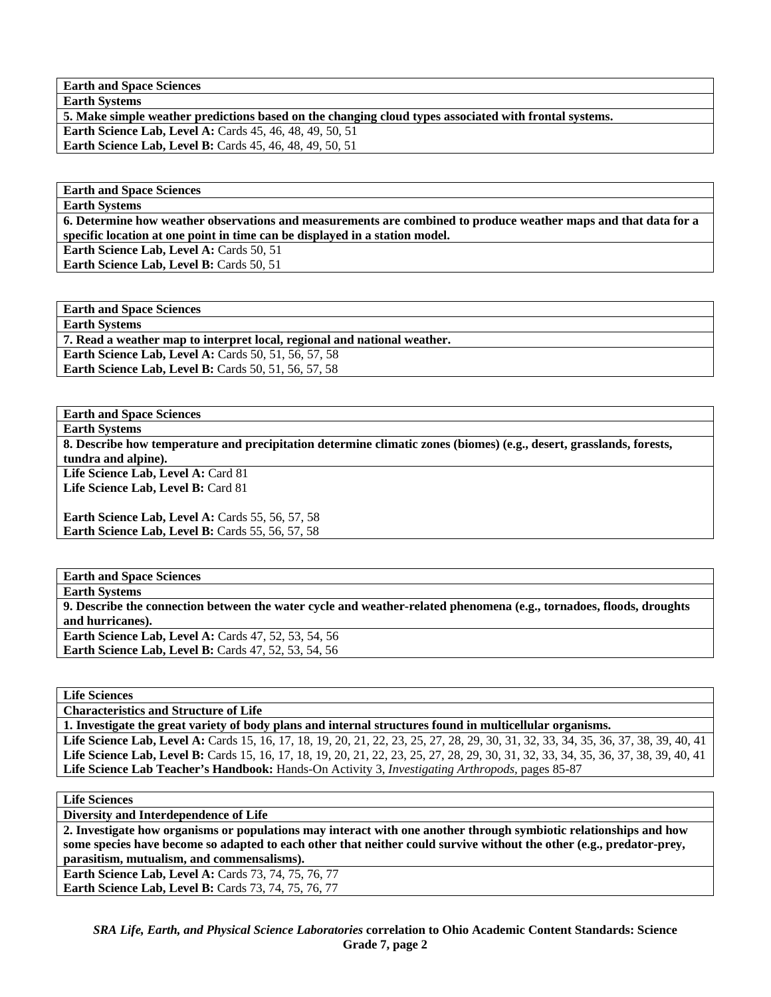**Earth and Space Sciences** 

**Earth Systems 5. Make simple weather predictions based on the changing cloud types associated with frontal systems.** 

**Earth Science Lab, Level A: Cards 45, 46, 48, 49, 50, 51 Earth Science Lab, Level B:** Cards 45, 46, 48, 49, 50, 51

**Earth and Space Sciences** 

**Earth Systems** 

**6. Determine how weather observations and measurements are combined to produce weather maps and that data for a specific location at one point in time can be displayed in a station model.** 

**Earth Science Lab, Level A: Cards 50, 51 Earth Science Lab, Level B: Cards 50, 51** 

**Earth and Space Sciences Earth Systems** 

**7. Read a weather map to interpret local, regional and national weather.** 

**Earth Science Lab, Level A: Cards 50, 51, 56, 57, 58** 

**Earth Science Lab, Level B: Cards 50, 51, 56, 57, 58** 

**Earth and Space Sciences** 

**Earth Systems** 

**8. Describe how temperature and precipitation determine climatic zones (biomes) (e.g., desert, grasslands, forests, tundra and alpine).** 

Life Science Lab, Level A: Card 81 **Life Science Lab, Level B:** Card 81

**Earth Science Lab, Level A: Cards 55, 56, 57, 58 Earth Science Lab, Level B: Cards 55, 56, 57, 58** 

**Earth and Space Sciences Earth Systems 9. Describe the connection between the water cycle and weather-related phenomena (e.g., tornadoes, floods, droughts and hurricanes). Earth Science Lab, Level A: Cards 47, 52, 53, 54, 56 Earth Science Lab, Level B: Cards 47, 52, 53, 54, 56** 

**Life Sciences** 

**Characteristics and Structure of Life** 

**1. Investigate the great variety of body plans and internal structures found in multicellular organisms.** 

Life Science Lab, Level A: Cards 15, 16, 17, 18, 19, 20, 21, 22, 23, 25, 27, 28, 29, 30, 31, 32, 33, 34, 35, 36, 37, 38, 39, 40, 41 Life Science Lab, Level B: Cards 15, 16, 17, 18, 19, 20, 21, 22, 23, 25, 27, 28, 29, 30, 31, 32, 33, 34, 35, 36, 37, 38, 39, 40, 41 **Life Science Lab Teacher's Handbook:** Hands-On Activity 3, *Investigating Arthropods,* pages 85-87

**Life Sciences** 

**Diversity and Interdependence of Life** 

**2. Investigate how organisms or populations may interact with one another through symbiotic relationships and how some species have become so adapted to each other that neither could survive without the other (e.g., predator-prey, parasitism, mutualism, and commensalisms).** 

**Earth Science Lab, Level A: Cards 73, 74, 75, 76, 77 Earth Science Lab, Level B: Cards 73, 74, 75, 76, 77**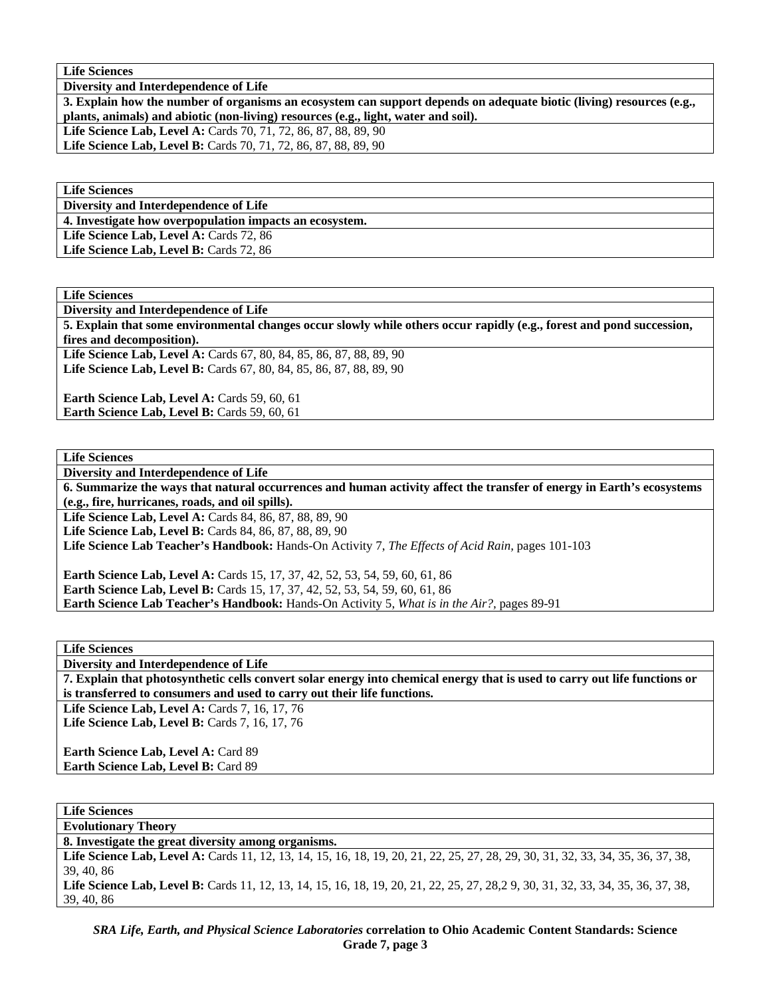**Life Sciences** 

**Diversity and Interdependence of Life** 

**3. Explain how the number of organisms an ecosystem can support depends on adequate biotic (living) resources (e.g., plants, animals) and abiotic (non-living) resources (e.g., light, water and soil).** 

**Life Science Lab, Level A:** Cards 70, 71, 72, 86, 87, 88, 89, 90

**Life Science Lab, Level B:** Cards 70, 71, 72, 86, 87, 88, 89, 90

**Life Sciences** 

**Diversity and Interdependence of Life** 

**4. Investigate how overpopulation impacts an ecosystem.** 

Life Science Lab, Level A: Cards 72, 86 Life Science Lab, Level B: Cards 72, 86

**Life Sciences** 

**Diversity and Interdependence of Life** 

**5. Explain that some environmental changes occur slowly while others occur rapidly (e.g., forest and pond succession, fires and decomposition).** 

Life Science Lab, Level A: Cards 67, 80, 84, 85, 86, 87, 88, 89, 90 Life Science Lab, Level B: Cards 67, 80, 84, 85, 86, 87, 88, 89, 90

**Earth Science Lab, Level A: Cards 59, 60, 61 Earth Science Lab, Level B: Cards 59, 60, 61** 

**Life Sciences** 

**Diversity and Interdependence of Life** 

**6. Summarize the ways that natural occurrences and human activity affect the transfer of energy in Earth's ecosystems (e.g., fire, hurricanes, roads, and oil spills).** 

Life Science Lab, Level A: Cards 84, 86, 87, 88, 89, 90

**Life Science Lab, Level B:** Cards 84, 86, 87, 88, 89, 90

**Life Science Lab Teacher's Handbook:** Hands-On Activity 7, *The Effects of Acid Rain,* pages 101-103

**Earth Science Lab, Level A: Cards 15, 17, 37, 42, 52, 53, 54, 59, 60, 61, 86 Earth Science Lab, Level B:** Cards 15, 17, 37, 42, 52, 53, 54, 59, 60, 61, 86 **Earth Science Lab Teacher's Handbook:** Hands-On Activity 5, *What is in the Air?,* pages 89-91

**Life Sciences** 

**Diversity and Interdependence of Life** 

**7. Explain that photosynthetic cells convert solar energy into chemical energy that is used to carry out life functions or is transferred to consumers and used to carry out their life functions.** 

Life Science Lab, Level A: Cards 7, 16, 17, 76 Life Science Lab, Level B: Cards 7, 16, 17, 76

**Earth Science Lab, Level A: Card 89 Earth Science Lab, Level B:** Card 89

**Life Sciences** 

**Evolutionary Theory 8. Investigate the great diversity among organisms.** 

Life Science Lab, Level A: Cards 11, 12, 13, 14, 15, 16, 18, 19, 20, 21, 22, 25, 27, 28, 29, 30, 31, 32, 33, 34, 35, 36, 37, 38, 39, 40, 86

Life Science Lab, Level B: Cards 11, 12, 13, 14, 15, 16, 18, 19, 20, 21, 22, 25, 27, 28, 29, 30, 31, 32, 33, 34, 35, 36, 37, 38, 39, 40, 86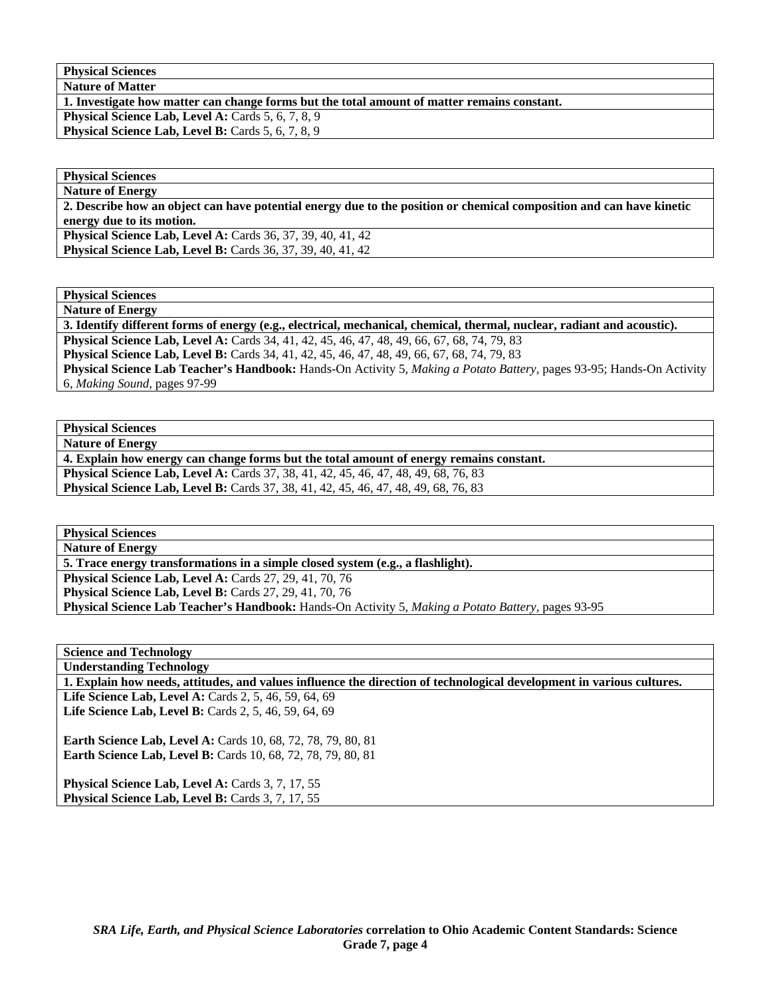**Physical Sciences** 

**Nature of Matter** 

**1. Investigate how matter can change forms but the total amount of matter remains constant.** 

Physical Science Lab, Level A: Cards 5, 6, 7, 8, 9

Physical Science Lab, Level B: Cards 5, 6, 7, 8, 9

**Physical Sciences Nature of Energy** 

**2. Describe how an object can have potential energy due to the position or chemical composition and can have kinetic energy due to its motion.** 

**Physical Science Lab, Level A: Cards 36, 37, 39, 40, 41, 42 Physical Science Lab, Level B:** Cards 36, 37, 39, 40, 41, 42

**Physical Sciences** 

**Nature of Energy** 

**3. Identify different forms of energy (e.g., electrical, mechanical, chemical, thermal, nuclear, radiant and acoustic).** 

**Physical Science Lab, Level A:** Cards 34, 41, 42, 45, 46, 47, 48, 49, 66, 67, 68, 74, 79, 83

**Physical Science Lab, Level B:** Cards 34, 41, 42, 45, 46, 47, 48, 49, 66, 67, 68, 74, 79, 83 **Physical Science Lab Teacher's Handbook:** Hands-On Activity 5, *Making a Potato Battery,* pages 93-95; Hands-On Activity 6, *Making Sound,* pages 97-99

**Physical Sciences** 

**Nature of Energy** 

**4. Explain how energy can change forms but the total amount of energy remains constant.** 

**Physical Science Lab, Level A:** Cards 37, 38, 41, 42, 45, 46, 47, 48, 49, 68, 76, 83 **Physical Science Lab, Level B:** Cards 37, 38, 41, 42, 45, 46, 47, 48, 49, 68, 76, 83

**Physical Sciences** 

**Nature of Energy** 

**5. Trace energy transformations in a simple closed system (e.g., a flashlight).** 

**Physical Science Lab, Level A: Cards 27, 29, 41, 70, 76** 

**Physical Science Lab, Level B:** Cards 27, 29, 41, 70, 76

**Physical Science Lab Teacher's Handbook:** Hands-On Activity 5, *Making a Potato Battery,* pages 93-95

**Science and Technology Understanding Technology** 

**1. Explain how needs, attitudes, and values influence the direction of technological development in various cultures.**  Life Science Lab, Level A: Cards 2, 5, 46, 59, 64, 69 Life Science Lab, Level B: Cards 2, 5, 46, 59, 64, 69

**Earth Science Lab, Level A: Cards 10, 68, 72, 78, 79, 80, 81 Earth Science Lab, Level B:** Cards 10, 68, 72, 78, 79, 80, 81

Physical Science Lab, Level A: Cards 3, 7, 17, 55 Physical Science Lab, Level B: Cards 3, 7, 17, 55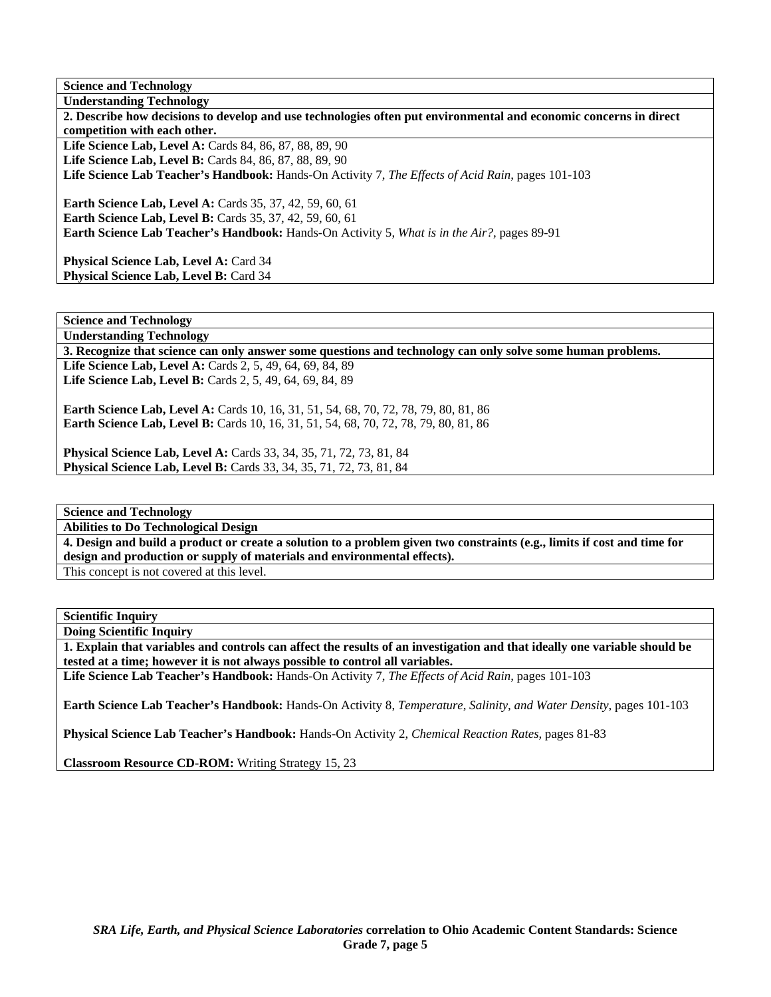**Science and Technology Understanding Technology** 

**2. Describe how decisions to develop and use technologies often put environmental and economic concerns in direct competition with each other.**  Life Science Lab, Level A: Cards 84, 86, 87, 88, 89, 90 **Life Science Lab, Level B:** Cards 84, 86, 87, 88, 89, 90 **Life Science Lab Teacher's Handbook:** Hands-On Activity 7, *The Effects of Acid Rain,* pages 101-103 **Earth Science Lab, Level A: Cards 35, 37, 42, 59, 60, 61 Earth Science Lab, Level B: Cards 35, 37, 42, 59, 60, 61 Earth Science Lab Teacher's Handbook:** Hands-On Activity 5, *What is in the Air?,* pages 89-91

Physical Science Lab, Level A: Card 34 Physical Science Lab, Level B: Card 34

**Science and Technology** 

**Understanding Technology 3. Recognize that science can only answer some questions and technology can only solve some human problems. Life Science Lab, Level A:** Cards 2, 5, 49, 64, 69, 84, 89 **Life Science Lab, Level B:** Cards 2, 5, 49, 64, 69, 84, 89

**Earth Science Lab, Level A:** Cards 10, 16, 31, 51, 54, 68, 70, 72, 78, 79, 80, 81, 86 **Earth Science Lab, Level B:** Cards 10, 16, 31, 51, 54, 68, 70, 72, 78, 79, 80, 81, 86

**Physical Science Lab, Level A:** Cards 33, 34, 35, 71, 72, 73, 81, 84 **Physical Science Lab, Level B:** Cards 33, 34, 35, 71, 72, 73, 81, 84

**Science and Technology** 

**Abilities to Do Technological Design** 

**4. Design and build a product or create a solution to a problem given two constraints (e.g., limits if cost and time for design and production or supply of materials and environmental effects).** 

This concept is not covered at this level.

**Scientific Inquiry** 

**Doing Scientific Inquiry** 

**1. Explain that variables and controls can affect the results of an investigation and that ideally one variable should be tested at a time; however it is not always possible to control all variables.** 

**Life Science Lab Teacher's Handbook:** Hands-On Activity 7, *The Effects of Acid Rain,* pages 101-103

**Earth Science Lab Teacher's Handbook:** Hands-On Activity 8, *Temperature, Salinity, and Water Density,* pages 101-103

**Physical Science Lab Teacher's Handbook:** Hands-On Activity 2, *Chemical Reaction Rates,* pages 81-83

**Classroom Resource CD-ROM:** Writing Strategy 15, 23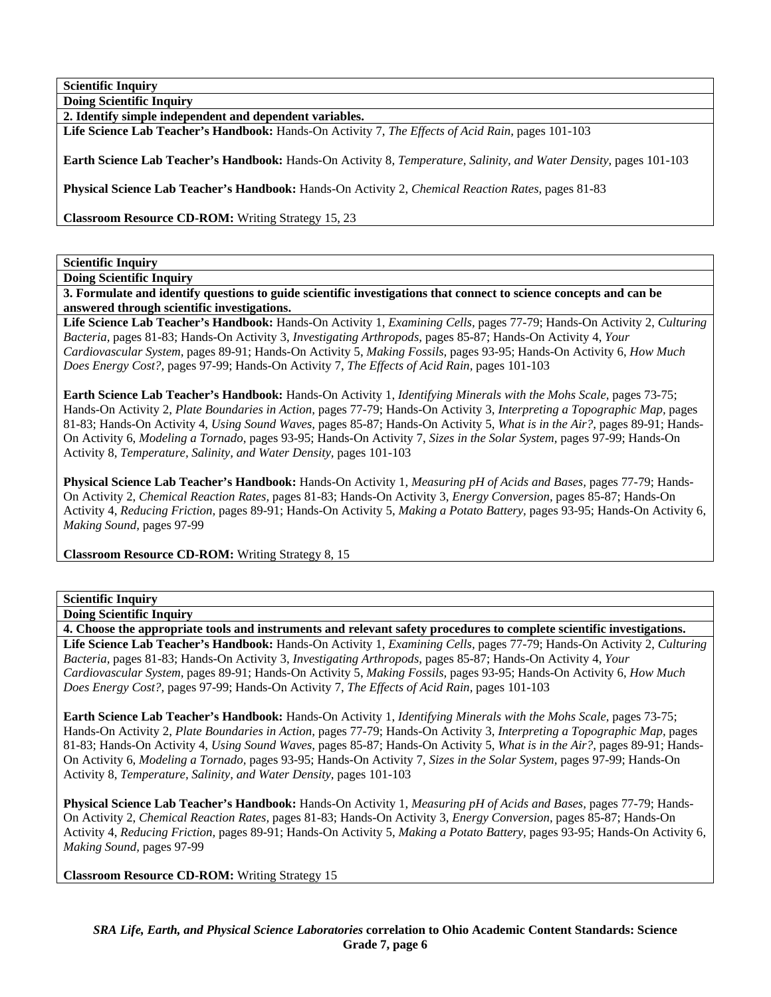**Doing Scientific Inquiry 2. Identify simple independent and dependent variables.** 

**Life Science Lab Teacher's Handbook:** Hands-On Activity 7, *The Effects of Acid Rain,* pages 101-103

**Earth Science Lab Teacher's Handbook:** Hands-On Activity 8, *Temperature, Salinity, and Water Density,* pages 101-103

**Physical Science Lab Teacher's Handbook:** Hands-On Activity 2, *Chemical Reaction Rates,* pages 81-83

**Classroom Resource CD-ROM:** Writing Strategy 15, 23

### **Scientific Inquiry**

**Doing Scientific Inquiry** 

**3. Formulate and identify questions to guide scientific investigations that connect to science concepts and can be answered through scientific investigations.** 

**Life Science Lab Teacher's Handbook:** Hands-On Activity 1, *Examining Cells,* pages 77-79; Hands-On Activity 2, *Culturing Bacteria,* pages 81-83; Hands-On Activity 3, *Investigating Arthropods,* pages 85-87; Hands-On Activity 4, *Your Cardiovascular System,* pages 89-91; Hands-On Activity 5, *Making Fossils,* pages 93-95; Hands-On Activity 6, *How Much Does Energy Cost?,* pages 97-99; Hands-On Activity 7, *The Effects of Acid Rain,* pages 101-103

**Earth Science Lab Teacher's Handbook:** Hands-On Activity 1, *Identifying Minerals with the Mohs Scale,* pages 73-75; Hands-On Activity 2, *Plate Boundaries in Action,* pages 77-79; Hands-On Activity 3, *Interpreting a Topographic Map,* pages 81-83; Hands-On Activity 4, *Using Sound Waves,* pages 85-87; Hands-On Activity 5, *What is in the Air?,* pages 89-91; Hands-On Activity 6, *Modeling a Tornado,* pages 93-95; Hands-On Activity 7, *Sizes in the Solar System,* pages 97-99; Hands-On Activity 8, *Temperature, Salinity, and Water Density,* pages 101-103

**Physical Science Lab Teacher's Handbook:** Hands-On Activity 1, *Measuring pH of Acids and Bases,* pages 77-79; Hands-On Activity 2, *Chemical Reaction Rates,* pages 81-83; Hands-On Activity 3, *Energy Conversion,* pages 85-87; Hands-On Activity 4, *Reducing Friction,* pages 89-91; Hands-On Activity 5, *Making a Potato Battery,* pages 93-95; Hands-On Activity 6, *Making Sound,* pages 97-99

**Classroom Resource CD-ROM:** Writing Strategy 8, 15

### **Scientific Inquiry**

**Doing Scientific Inquiry** 

**4. Choose the appropriate tools and instruments and relevant safety procedures to complete scientific investigations.** 

**Life Science Lab Teacher's Handbook:** Hands-On Activity 1, *Examining Cells,* pages 77-79; Hands-On Activity 2, *Culturing Bacteria,* pages 81-83; Hands-On Activity 3, *Investigating Arthropods,* pages 85-87; Hands-On Activity 4, *Your Cardiovascular System,* pages 89-91; Hands-On Activity 5, *Making Fossils,* pages 93-95; Hands-On Activity 6, *How Much Does Energy Cost?,* pages 97-99; Hands-On Activity 7, *The Effects of Acid Rain,* pages 101-103

**Earth Science Lab Teacher's Handbook:** Hands-On Activity 1, *Identifying Minerals with the Mohs Scale,* pages 73-75; Hands-On Activity 2, *Plate Boundaries in Action,* pages 77-79; Hands-On Activity 3, *Interpreting a Topographic Map,* pages 81-83; Hands-On Activity 4, *Using Sound Waves,* pages 85-87; Hands-On Activity 5, *What is in the Air?,* pages 89-91; Hands-On Activity 6, *Modeling a Tornado,* pages 93-95; Hands-On Activity 7, *Sizes in the Solar System,* pages 97-99; Hands-On Activity 8, *Temperature, Salinity, and Water Density,* pages 101-103

**Physical Science Lab Teacher's Handbook:** Hands-On Activity 1, *Measuring pH of Acids and Bases,* pages 77-79; Hands-On Activity 2, *Chemical Reaction Rates,* pages 81-83; Hands-On Activity 3, *Energy Conversion,* pages 85-87; Hands-On Activity 4, *Reducing Friction,* pages 89-91; Hands-On Activity 5, *Making a Potato Battery,* pages 93-95; Hands-On Activity 6, *Making Sound,* pages 97-99

**Classroom Resource CD-ROM:** Writing Strategy 15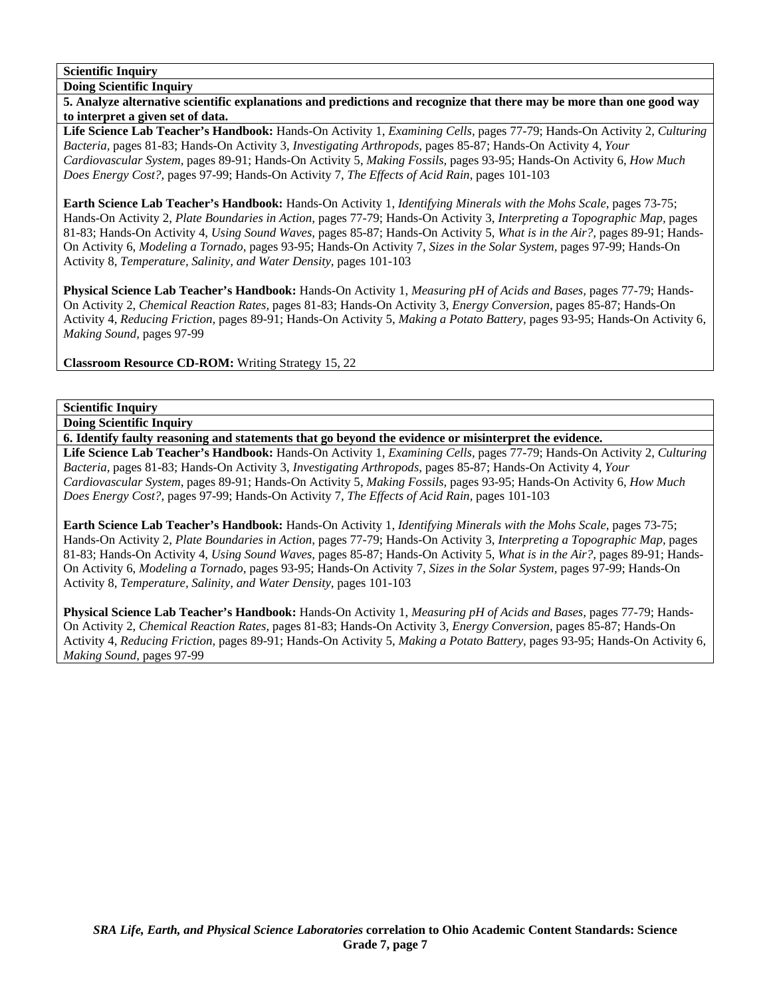**Doing Scientific Inquiry** 

**5. Analyze alternative scientific explanations and predictions and recognize that there may be more than one good way to interpret a given set of data.** 

**Life Science Lab Teacher's Handbook:** Hands-On Activity 1, *Examining Cells,* pages 77-79; Hands-On Activity 2, *Culturing Bacteria,* pages 81-83; Hands-On Activity 3, *Investigating Arthropods,* pages 85-87; Hands-On Activity 4, *Your Cardiovascular System,* pages 89-91; Hands-On Activity 5, *Making Fossils,* pages 93-95; Hands-On Activity 6, *How Much Does Energy Cost?,* pages 97-99; Hands-On Activity 7, *The Effects of Acid Rain,* pages 101-103

**Earth Science Lab Teacher's Handbook:** Hands-On Activity 1, *Identifying Minerals with the Mohs Scale,* pages 73-75; Hands-On Activity 2, *Plate Boundaries in Action,* pages 77-79; Hands-On Activity 3, *Interpreting a Topographic Map,* pages 81-83; Hands-On Activity 4, *Using Sound Waves,* pages 85-87; Hands-On Activity 5, *What is in the Air?,* pages 89-91; Hands-On Activity 6, *Modeling a Tornado,* pages 93-95; Hands-On Activity 7, *Sizes in the Solar System,* pages 97-99; Hands-On Activity 8, *Temperature, Salinity, and Water Density,* pages 101-103

**Physical Science Lab Teacher's Handbook:** Hands-On Activity 1, *Measuring pH of Acids and Bases,* pages 77-79; Hands-On Activity 2, *Chemical Reaction Rates,* pages 81-83; Hands-On Activity 3, *Energy Conversion,* pages 85-87; Hands-On Activity 4, *Reducing Friction,* pages 89-91; Hands-On Activity 5, *Making a Potato Battery,* pages 93-95; Hands-On Activity 6, *Making Sound,* pages 97-99

**Classroom Resource CD-ROM:** Writing Strategy 15, 22

### **Scientific Inquiry**

**Doing Scientific Inquiry** 

**6. Identify faulty reasoning and statements that go beyond the evidence or misinterpret the evidence.** 

**Life Science Lab Teacher's Handbook:** Hands-On Activity 1, *Examining Cells,* pages 77-79; Hands-On Activity 2, *Culturing Bacteria,* pages 81-83; Hands-On Activity 3, *Investigating Arthropods,* pages 85-87; Hands-On Activity 4, *Your Cardiovascular System,* pages 89-91; Hands-On Activity 5, *Making Fossils,* pages 93-95; Hands-On Activity 6, *How Much Does Energy Cost?,* pages 97-99; Hands-On Activity 7, *The Effects of Acid Rain,* pages 101-103

**Earth Science Lab Teacher's Handbook:** Hands-On Activity 1, *Identifying Minerals with the Mohs Scale,* pages 73-75; Hands-On Activity 2, *Plate Boundaries in Action,* pages 77-79; Hands-On Activity 3, *Interpreting a Topographic Map,* pages 81-83; Hands-On Activity 4, *Using Sound Waves,* pages 85-87; Hands-On Activity 5, *What is in the Air?,* pages 89-91; Hands-On Activity 6, *Modeling a Tornado,* pages 93-95; Hands-On Activity 7, *Sizes in the Solar System,* pages 97-99; Hands-On Activity 8, *Temperature, Salinity, and Water Density,* pages 101-103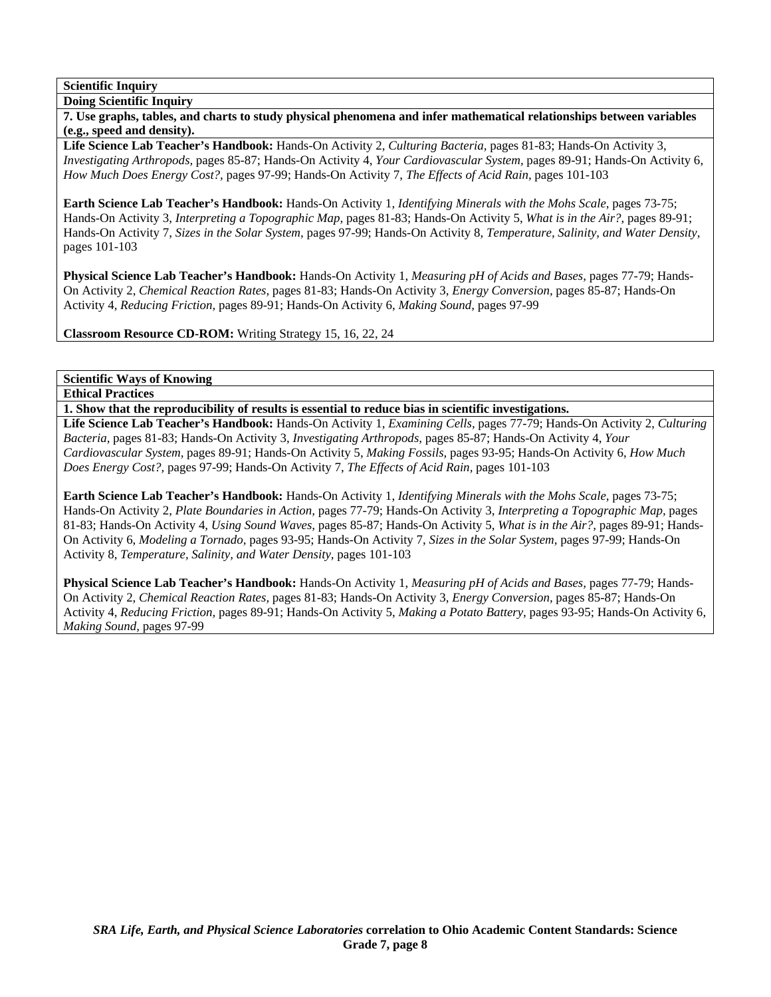**Scientific Inquiry Doing Scientific Inquiry** 

**7. Use graphs, tables, and charts to study physical phenomena and infer mathematical relationships between variables (e.g., speed and density).** 

**Life Science Lab Teacher's Handbook:** Hands-On Activity 2, *Culturing Bacteria,* pages 81-83; Hands-On Activity 3, *Investigating Arthropods,* pages 85-87; Hands-On Activity 4, *Your Cardiovascular System,* pages 89-91; Hands-On Activity 6, *How Much Does Energy Cost?,* pages 97-99; Hands-On Activity 7, *The Effects of Acid Rain,* pages 101-103

**Earth Science Lab Teacher's Handbook:** Hands-On Activity 1, *Identifying Minerals with the Mohs Scale,* pages 73-75; Hands-On Activity 3, *Interpreting a Topographic Map,* pages 81-83; Hands-On Activity 5, *What is in the Air?,* pages 89-91; Hands-On Activity 7, *Sizes in the Solar System,* pages 97-99; Hands-On Activity 8, *Temperature, Salinity, and Water Density,* pages 101-103

**Physical Science Lab Teacher's Handbook:** Hands-On Activity 1, *Measuring pH of Acids and Bases,* pages 77-79; Hands-On Activity 2, *Chemical Reaction Rates,* pages 81-83; Hands-On Activity 3, *Energy Conversion,* pages 85-87; Hands-On Activity 4, *Reducing Friction,* pages 89-91; Hands-On Activity 6, *Making Sound,* pages 97-99

**Classroom Resource CD-ROM:** Writing Strategy 15, 16, 22, 24

**Scientific Ways of Knowing** 

**Ethical Practices** 

**1. Show that the reproducibility of results is essential to reduce bias in scientific investigations.** 

**Life Science Lab Teacher's Handbook:** Hands-On Activity 1, *Examining Cells,* pages 77-79; Hands-On Activity 2, *Culturing Bacteria,* pages 81-83; Hands-On Activity 3, *Investigating Arthropods,* pages 85-87; Hands-On Activity 4, *Your Cardiovascular System,* pages 89-91; Hands-On Activity 5, *Making Fossils,* pages 93-95; Hands-On Activity 6, *How Much Does Energy Cost?,* pages 97-99; Hands-On Activity 7, *The Effects of Acid Rain,* pages 101-103

**Earth Science Lab Teacher's Handbook:** Hands-On Activity 1, *Identifying Minerals with the Mohs Scale,* pages 73-75; Hands-On Activity 2, *Plate Boundaries in Action,* pages 77-79; Hands-On Activity 3, *Interpreting a Topographic Map,* pages 81-83; Hands-On Activity 4, *Using Sound Waves,* pages 85-87; Hands-On Activity 5, *What is in the Air?,* pages 89-91; Hands-On Activity 6, *Modeling a Tornado,* pages 93-95; Hands-On Activity 7, *Sizes in the Solar System,* pages 97-99; Hands-On Activity 8, *Temperature, Salinity, and Water Density,* pages 101-103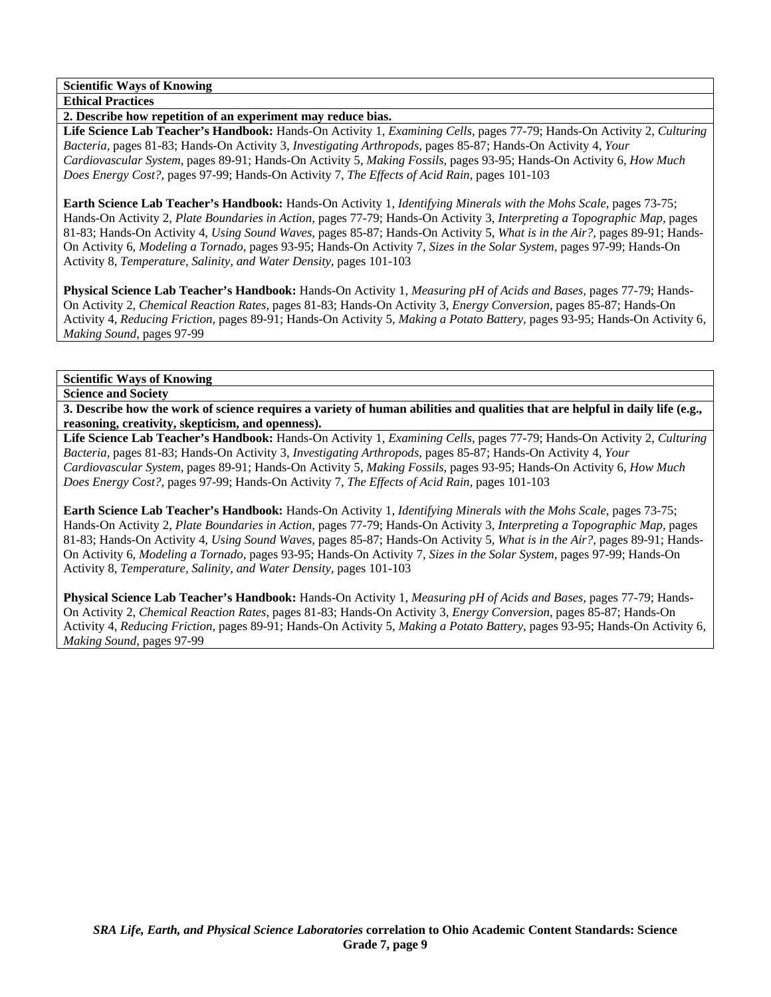**Scientific Ways of Knowing** 

**Ethical Practices** 

**2. Describe how repetition of an experiment may reduce bias.** 

**Life Science Lab Teacher's Handbook:** Hands-On Activity 1, *Examining Cells,* pages 77-79; Hands-On Activity 2, *Culturing Bacteria,* pages 81-83; Hands-On Activity 3, *Investigating Arthropods,* pages 85-87; Hands-On Activity 4, *Your Cardiovascular System,* pages 89-91; Hands-On Activity 5, *Making Fossils,* pages 93-95; Hands-On Activity 6, *How Much Does Energy Cost?,* pages 97-99; Hands-On Activity 7, *The Effects of Acid Rain,* pages 101-103

**Earth Science Lab Teacher's Handbook:** Hands-On Activity 1, *Identifying Minerals with the Mohs Scale,* pages 73-75; Hands-On Activity 2, *Plate Boundaries in Action,* pages 77-79; Hands-On Activity 3, *Interpreting a Topographic Map,* pages 81-83; Hands-On Activity 4, *Using Sound Waves,* pages 85-87; Hands-On Activity 5, *What is in the Air?,* pages 89-91; Hands-On Activity 6, *Modeling a Tornado,* pages 93-95; Hands-On Activity 7, *Sizes in the Solar System,* pages 97-99; Hands-On Activity 8, *Temperature, Salinity, and Water Density,* pages 101-103

**Physical Science Lab Teacher's Handbook:** Hands-On Activity 1, *Measuring pH of Acids and Bases,* pages 77-79; Hands-On Activity 2, *Chemical Reaction Rates,* pages 81-83; Hands-On Activity 3, *Energy Conversion,* pages 85-87; Hands-On Activity 4, *Reducing Friction,* pages 89-91; Hands-On Activity 5, *Making a Potato Battery,* pages 93-95; Hands-On Activity 6, *Making Sound,* pages 97-99

**Scientific Ways of Knowing** 

**Science and Society** 

**3. Describe how the work of science requires a variety of human abilities and qualities that are helpful in daily life (e.g., reasoning, creativity, skepticism, and openness).** 

**Life Science Lab Teacher's Handbook:** Hands-On Activity 1, *Examining Cells,* pages 77-79; Hands-On Activity 2, *Culturing Bacteria,* pages 81-83; Hands-On Activity 3, *Investigating Arthropods,* pages 85-87; Hands-On Activity 4, *Your Cardiovascular System,* pages 89-91; Hands-On Activity 5, *Making Fossils,* pages 93-95; Hands-On Activity 6, *How Much Does Energy Cost?,* pages 97-99; Hands-On Activity 7, *The Effects of Acid Rain,* pages 101-103

**Earth Science Lab Teacher's Handbook:** Hands-On Activity 1, *Identifying Minerals with the Mohs Scale,* pages 73-75; Hands-On Activity 2, *Plate Boundaries in Action,* pages 77-79; Hands-On Activity 3, *Interpreting a Topographic Map,* pages 81-83; Hands-On Activity 4, *Using Sound Waves,* pages 85-87; Hands-On Activity 5, *What is in the Air?,* pages 89-91; Hands-On Activity 6, *Modeling a Tornado,* pages 93-95; Hands-On Activity 7, *Sizes in the Solar System,* pages 97-99; Hands-On Activity 8, *Temperature, Salinity, and Water Density,* pages 101-103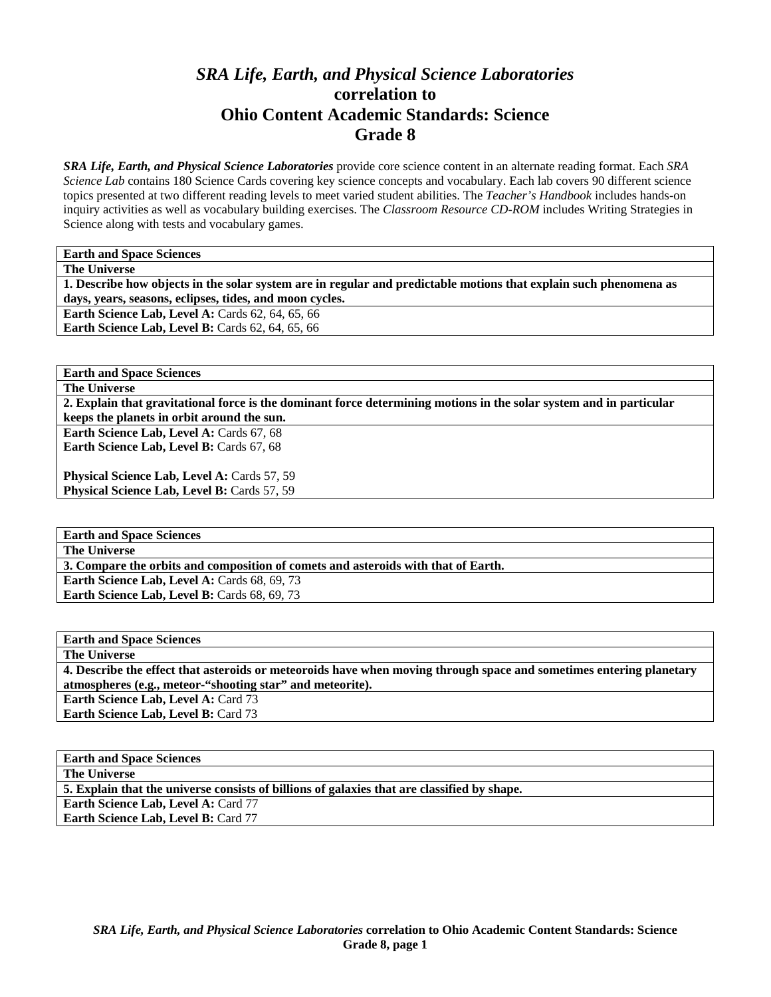# *SRA Life, Earth, and Physical Science Laboratories*  **correlation to Ohio Content Academic Standards: Science Grade 8**

*SRA Life, Earth, and Physical Science Laboratories* provide core science content in an alternate reading format. Each *SRA Science Lab* contains 180 Science Cards covering key science concepts and vocabulary. Each lab covers 90 different science topics presented at two different reading levels to meet varied student abilities. The *Teacher's Handbook* includes hands-on inquiry activities as well as vocabulary building exercises. The *Classroom Resource CD-ROM* includes Writing Strategies in Science along with tests and vocabulary games.

**Earth and Space Sciences** 

**The Universe** 

**1. Describe how objects in the solar system are in regular and predictable motions that explain such phenomena as days, years, seasons, eclipses, tides, and moon cycles. Earth Science Lab, Level A: Cards 62, 64, 65, 66** 

**Earth Science Lab, Level B: Cards 62, 64, 65, 66** 

**Earth and Space Sciences** 

**The Universe** 

**2. Explain that gravitational force is the dominant force determining motions in the solar system and in particular keeps the planets in orbit around the sun.** 

**Earth Science Lab, Level A: Cards 67, 68** Earth Science Lab, Level B: Cards 67, 68

Physical Science Lab, Level A: Cards 57, 59 Physical Science Lab, Level B: Cards 57, 59

**Earth and Space Sciences** 

**The Universe** 

**3. Compare the orbits and composition of comets and asteroids with that of Earth.** 

Earth Science Lab, Level A: Cards 68, 69, 73 Earth Science Lab, Level B: Cards 68, 69, 73

**Earth and Space Sciences** 

**The Universe** 

**4. Describe the effect that asteroids or meteoroids have when moving through space and sometimes entering planetary atmospheres (e.g., meteor-"shooting star" and meteorite).**  Earth Science Lab, Level A: Card 73

**Earth Science Lab, Level B: Card 73** 

| <b>Earth and Space Sciences</b>                                                             |  |
|---------------------------------------------------------------------------------------------|--|
| <b>The Universe</b>                                                                         |  |
| 5. Explain that the universe consists of billions of galaxies that are classified by shape. |  |

**Earth Science Lab, Level A:** Card 77

**Earth Science Lab, Level B: Card 77**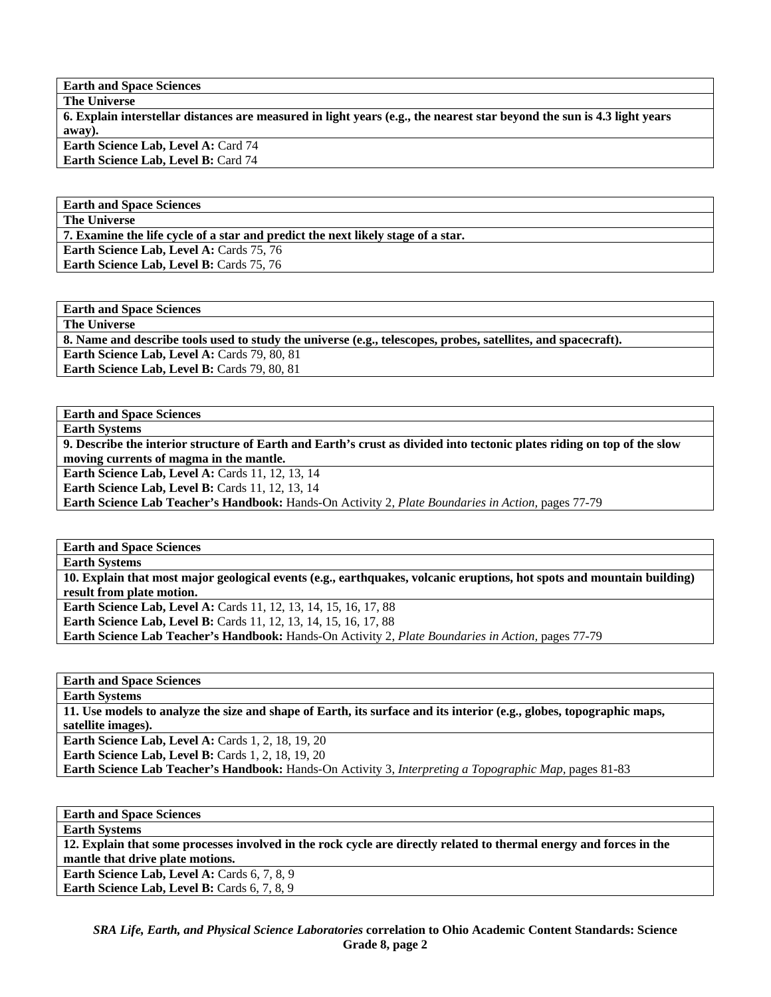**Earth and Space Sciences** 

**The Universe 6. Explain interstellar distances are measured in light years (e.g., the nearest star beyond the sun is 4.3 light years away).** 

**Earth Science Lab, Level A: Card 74 Earth Science Lab, Level B:** Card 74

**Earth and Space Sciences** 

**The Universe** 

**7. Examine the life cycle of a star and predict the next likely stage of a star.** 

**Earth Science Lab, Level A: Cards 75, 76** 

Earth Science Lab, Level B: Cards 75, 76

**Earth and Space Sciences The Universe** 

**8. Name and describe tools used to study the universe (e.g., telescopes, probes, satellites, and spacecraft).** 

**Earth Science Lab, Level A: Cards 79, 80, 81** 

Earth Science Lab, Level B: Cards 79, 80, 81

**Earth and Space Sciences Earth Systems** 

**9. Describe the interior structure of Earth and Earth's crust as divided into tectonic plates riding on top of the slow moving currents of magma in the mantle.** 

**Earth Science Lab, Level A: Cards 11, 12, 13, 14** 

**Earth Science Lab, Level B: Cards 11, 12, 13, 14** 

**Earth Science Lab Teacher's Handbook:** Hands-On Activity 2, *Plate Boundaries in Action,* pages 77-79

**Earth and Space Sciences Earth Systems 10. Explain that most major geological events (e.g., earthquakes, volcanic eruptions, hot spots and mountain building) result from plate motion. Earth Science Lab, Level A: Cards 11, 12, 13, 14, 15, 16, 17, 88 Earth Science Lab, Level B:** Cards 11, 12, 13, 14, 15, 16, 17, 88 **Earth Science Lab Teacher's Handbook:** Hands-On Activity 2, *Plate Boundaries in Action,* pages 77-79

**Earth and Space Sciences Earth Systems 11. Use models to analyze the size and shape of Earth, its surface and its interior (e.g., globes, topographic maps, satellite images). Earth Science Lab, Level A: Cards 1, 2, 18, 19, 20 Earth Science Lab, Level B: Cards 1, 2, 18, 19, 20** 

**Earth Science Lab Teacher's Handbook:** Hands-On Activity 3, *Interpreting a Topographic Map,* pages 81-83

**Earth and Space Sciences Earth Systems 12. Explain that some processes involved in the rock cycle are directly related to thermal energy and forces in the mantle that drive plate motions. Earth Science Lab, Level A: Cards 6, 7, 8, 9 Earth Science Lab, Level B:** Cards 6, 7, 8, 9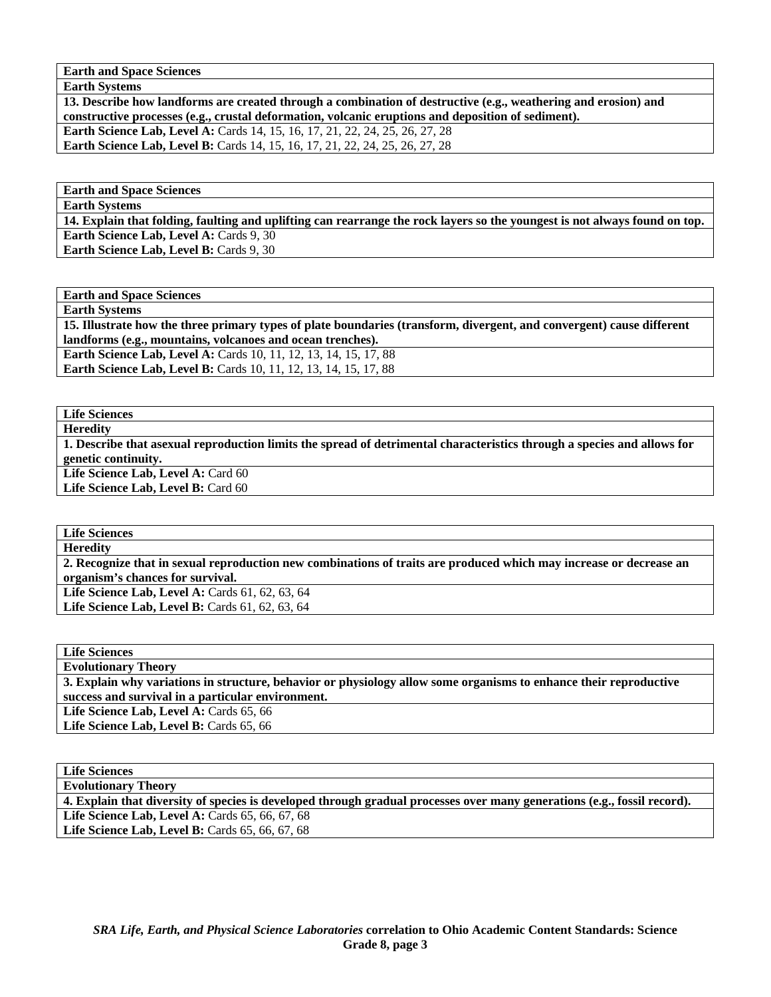**Earth and Space Sciences** 

**Earth Systems** 

**13. Describe how landforms are created through a combination of destructive (e.g., weathering and erosion) and constructive processes (e.g., crustal deformation, volcanic eruptions and deposition of sediment). Earth Science Lab, Level A:** Cards 14, 15, 16, 17, 21, 22, 24, 25, 26, 27, 28 **Earth Science Lab, Level B:** Cards 14, 15, 16, 17, 21, 22, 24, 25, 26, 27, 28

**Earth and Space Sciences** 

**Earth Systems** 

**14. Explain that folding, faulting and uplifting can rearrange the rock layers so the youngest is not always found on top.**  Earth Science Lab, Level A: Cards 9, 30 **Earth Science Lab, Level B: Cards 9, 30** 

**Earth and Space Sciences** 

**Earth Systems** 

**15. Illustrate how the three primary types of plate boundaries (transform, divergent, and convergent) cause different landforms (e.g., mountains, volcanoes and ocean trenches).** 

**Earth Science Lab, Level A:** Cards 10, 11, 12, 13, 14, 15, 17, 88 **Earth Science Lab, Level B:** Cards 10, 11, 12, 13, 14, 15, 17, 88

## **Life Sciences**

**Heredity** 

**1. Describe that asexual reproduction limits the spread of detrimental characteristics through a species and allows for genetic continuity.**  Life Science Lab, Level A: Card 60

Life Science Lab, Level B: Card 60

**Life Sciences** 

**Heredity** 

**2. Recognize that in sexual reproduction new combinations of traits are produced which may increase or decrease an organism's chances for survival.** 

**Life Science Lab, Level A:** Cards 61, 62, 63, 64 Life Science Lab, Level B: Cards 61, 62, 63, 64

**Life Sciences Evolutionary Theory 3. Explain why variations in structure, behavior or physiology allow some organisms to enhance their reproductive success and survival in a particular environment.**  Life Science Lab, Level A: Cards 65, 66 Life Science Lab, Level B: Cards 65, 66

**Life Sciences Evolutionary Theory 4. Explain that diversity of species is developed through gradual processes over many generations (e.g., fossil record).**  Life Science Lab, Level A: Cards 65, 66, 67, 68 Life Science Lab, Level B: Cards 65, 66, 67, 68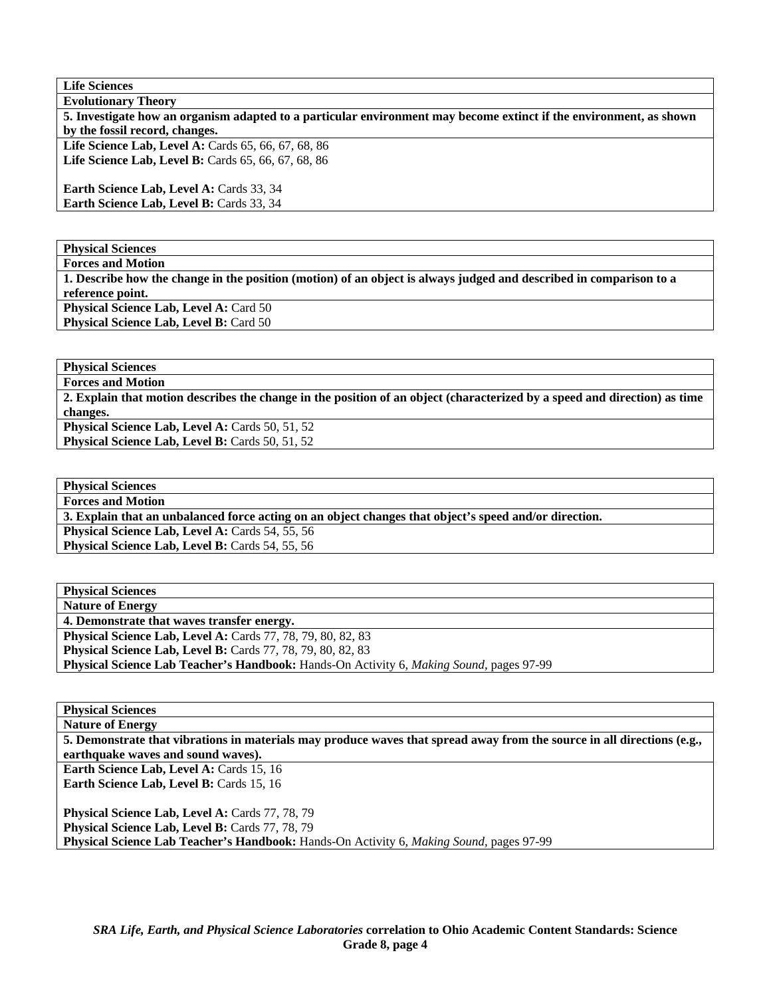**Life Sciences** 

| <b>Evolutionary Theory</b>                                                                                         |
|--------------------------------------------------------------------------------------------------------------------|
| 5. Investigate how an organism adapted to a particular environment may become extinct if the environment, as shown |
| by the fossil record, changes.                                                                                     |
| Life Science Lab, Level A: Cards $65, 66, 67, 68, 86$                                                              |
| Life Science Lab, Level B: Cards 65, 66, 67, 68, 86                                                                |
| <b>Earth Science Lab, Level A: Cards 33, 34</b>                                                                    |
| <b>Earth Science Lab, Level B: Cards 33, 34</b>                                                                    |
|                                                                                                                    |

**Physical Sciences** 

**Forces and Motion 1. Describe how the change in the position (motion) of an object is always judged and described in comparison to a reference point. Physical Science Lab, Level A: Card 50** Physical Science Lab, Level B: Card 50

**Physical Sciences** 

**Forces and Motion** 

**2. Explain that motion describes the change in the position of an object (characterized by a speed and direction) as time changes.** 

Physical Science Lab, Level A: Cards 50, 51, 52 Physical Science Lab, Level B: Cards 50, 51, 52

**Physical Sciences Forces and Motion 3. Explain that an unbalanced force acting on an object changes that object's speed and/or direction.**  Physical Science Lab, Level A: Cards 54, 55, 56 Physical Science Lab, Level B: Cards 54, 55, 56

| <b>Physical Sciences</b>                                                                               |
|--------------------------------------------------------------------------------------------------------|
| <b>Nature of Energy</b>                                                                                |
| 4. Demonstrate that waves transfer energy.                                                             |
| Physical Science Lab, Level A: Cards 77, 78, 79, 80, 82, 83                                            |
| <b>Physical Science Lab, Level B:</b> Cards 77, 78, 79, 80, 82, 83                                     |
| <b>Physical Science Lab Teacher's Handbook:</b> Hands-On Activity 6, <i>Making Sound</i> , pages 97-99 |

**Physical Sciences** 

**Nature of Energy 5. Demonstrate that vibrations in materials may produce waves that spread away from the source in all directions (e.g., earthquake waves and sound waves).** 

Earth Science Lab, Level A: Cards 15, 16 **Earth Science Lab, Level B: Cards 15, 16** 

Physical Science Lab, Level A: Cards 77, 78, 79 Physical Science Lab, Level B: Cards 77, 78, 79 **Physical Science Lab Teacher's Handbook:** Hands-On Activity 6, *Making Sound,* pages 97-99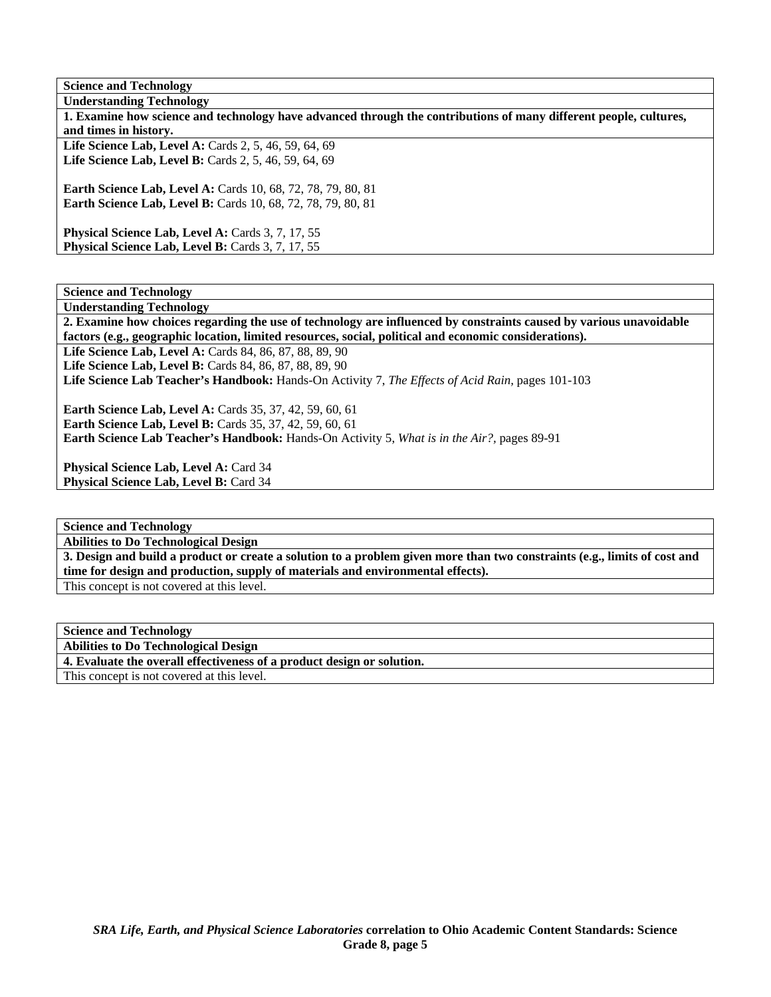**Science and Technology Understanding Technology 1. Examine how science and technology have advanced through the contributions of many different people, cultures, and times in history.**  Life Science Lab, Level A: Cards 2, 5, 46, 59, 64, 69 Life Science Lab, Level B: Cards 2, 5, 46, 59, 64, 69 **Earth Science Lab, Level A:** Cards 10, 68, 72, 78, 79, 80, 81 **Earth Science Lab, Level B:** Cards 10, 68, 72, 78, 79, 80, 81 Physical Science Lab, Level A: Cards 3, 7, 17, 55 Physical Science Lab, Level B: Cards 3, 7, 17, 55

**Science and Technology Understanding Technology** 

**2. Examine how choices regarding the use of technology are influenced by constraints caused by various unavoidable factors (e.g., geographic location, limited resources, social, political and economic considerations).** 

Life Science Lab, Level A: Cards 84, 86, 87, 88, 89, 90 **Life Science Lab, Level B:** Cards 84, 86, 87, 88, 89, 90 **Life Science Lab Teacher's Handbook:** Hands-On Activity 7, *The Effects of Acid Rain,* pages 101-103

**Earth Science Lab, Level A: Cards 35, 37, 42, 59, 60, 61 Earth Science Lab, Level B: Cards 35, 37, 42, 59, 60, 61 Earth Science Lab Teacher's Handbook:** Hands-On Activity 5, *What is in the Air?,* pages 89-91

Physical Science Lab, Level A: Card 34 Physical Science Lab, Level B: Card 34

**Science and Technology** 

**Abilities to Do Technological Design** 

**3. Design and build a product or create a solution to a problem given more than two constraints (e.g., limits of cost and time for design and production, supply of materials and environmental effects).** 

This concept is not covered at this level.

| <b>Science and Technology</b>                                          |
|------------------------------------------------------------------------|
| <b>Abilities to Do Technological Design</b>                            |
| 4. Evaluate the overall effectiveness of a product design or solution. |
| This concept is not covered at this level.                             |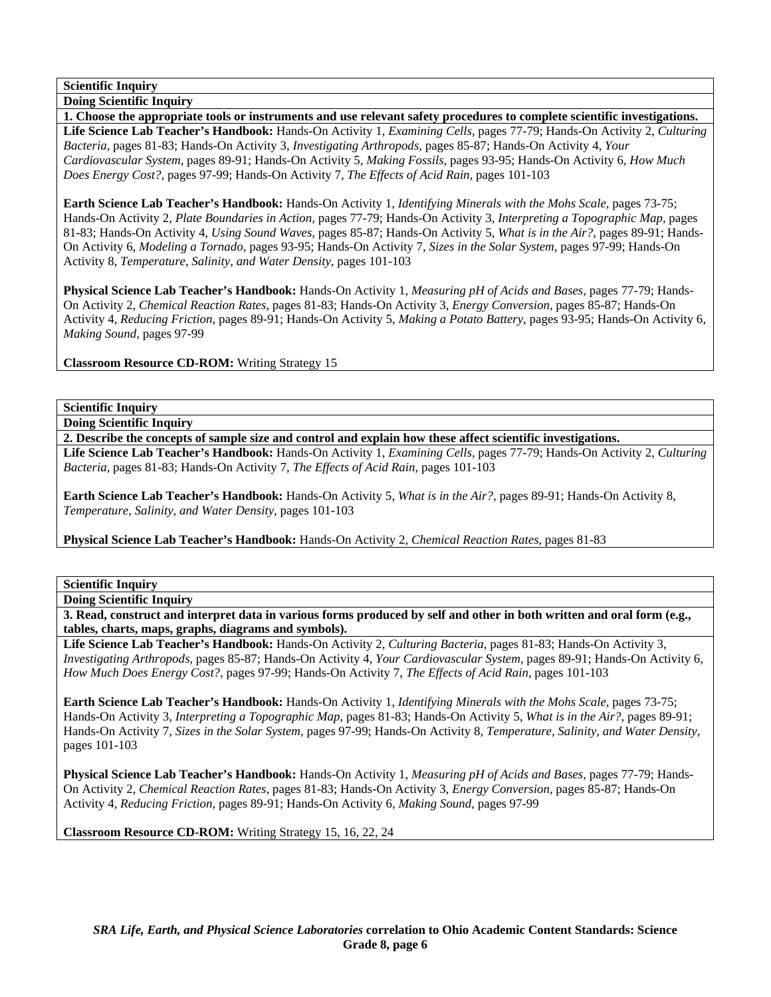**Doing Scientific Inquiry 1. Choose the appropriate tools or instruments and use relevant safety procedures to complete scientific investigations. Life Science Lab Teacher's Handbook:** Hands-On Activity 1, *Examining Cells,* pages 77-79; Hands-On Activity 2, *Culturing Bacteria,* pages 81-83; Hands-On Activity 3, *Investigating Arthropods,* pages 85-87; Hands-On Activity 4, *Your Cardiovascular System,* pages 89-91; Hands-On Activity 5, *Making Fossils,* pages 93-95; Hands-On Activity 6, *How Much Does Energy Cost?,* pages 97-99; Hands-On Activity 7, *The Effects of Acid Rain,* pages 101-103

**Earth Science Lab Teacher's Handbook:** Hands-On Activity 1, *Identifying Minerals with the Mohs Scale,* pages 73-75; Hands-On Activity 2, *Plate Boundaries in Action,* pages 77-79; Hands-On Activity 3, *Interpreting a Topographic Map,* pages 81-83; Hands-On Activity 4, *Using Sound Waves,* pages 85-87; Hands-On Activity 5, *What is in the Air?,* pages 89-91; Hands-On Activity 6, *Modeling a Tornado,* pages 93-95; Hands-On Activity 7, *Sizes in the Solar System,* pages 97-99; Hands-On Activity 8, *Temperature, Salinity, and Water Density,* pages 101-103

**Physical Science Lab Teacher's Handbook:** Hands-On Activity 1, *Measuring pH of Acids and Bases,* pages 77-79; Hands-On Activity 2, *Chemical Reaction Rates,* pages 81-83; Hands-On Activity 3, *Energy Conversion,* pages 85-87; Hands-On Activity 4, *Reducing Friction,* pages 89-91; Hands-On Activity 5, *Making a Potato Battery,* pages 93-95; Hands-On Activity 6, *Making Sound,* pages 97-99

**Classroom Resource CD-ROM:** Writing Strategy 15

**Scientific Inquiry** 

**Doing Scientific Inquiry** 

**2. Describe the concepts of sample size and control and explain how these affect scientific investigations.** 

**Life Science Lab Teacher's Handbook:** Hands-On Activity 1, *Examining Cells,* pages 77-79; Hands-On Activity 2, *Culturing Bacteria,* pages 81-83; Hands-On Activity 7, *The Effects of Acid Rain,* pages 101-103

**Earth Science Lab Teacher's Handbook:** Hands-On Activity 5, *What is in the Air?,* pages 89-91; Hands-On Activity 8, *Temperature, Salinity, and Water Density,* pages 101-103

**Physical Science Lab Teacher's Handbook:** Hands-On Activity 2, *Chemical Reaction Rates,* pages 81-83

**Scientific Inquiry** 

**Doing Scientific Inquiry** 

**3. Read, construct and interpret data in various forms produced by self and other in both written and oral form (e.g., tables, charts, maps, graphs, diagrams and symbols).** 

**Life Science Lab Teacher's Handbook:** Hands-On Activity 2, *Culturing Bacteria,* pages 81-83; Hands-On Activity 3, *Investigating Arthropods,* pages 85-87; Hands-On Activity 4, *Your Cardiovascular System,* pages 89-91; Hands-On Activity 6, *How Much Does Energy Cost?,* pages 97-99; Hands-On Activity 7, *The Effects of Acid Rain,* pages 101-103

**Earth Science Lab Teacher's Handbook:** Hands-On Activity 1, *Identifying Minerals with the Mohs Scale,* pages 73-75; Hands-On Activity 3, *Interpreting a Topographic Map,* pages 81-83; Hands-On Activity 5, *What is in the Air?,* pages 89-91; Hands-On Activity 7, *Sizes in the Solar System,* pages 97-99; Hands-On Activity 8, *Temperature, Salinity, and Water Density,* pages 101-103

**Physical Science Lab Teacher's Handbook:** Hands-On Activity 1, *Measuring pH of Acids and Bases,* pages 77-79; Hands-On Activity 2, *Chemical Reaction Rates,* pages 81-83; Hands-On Activity 3, *Energy Conversion,* pages 85-87; Hands-On Activity 4, *Reducing Friction,* pages 89-91; Hands-On Activity 6, *Making Sound,* pages 97-99

**Classroom Resource CD-ROM:** Writing Strategy 15, 16, 22, 24